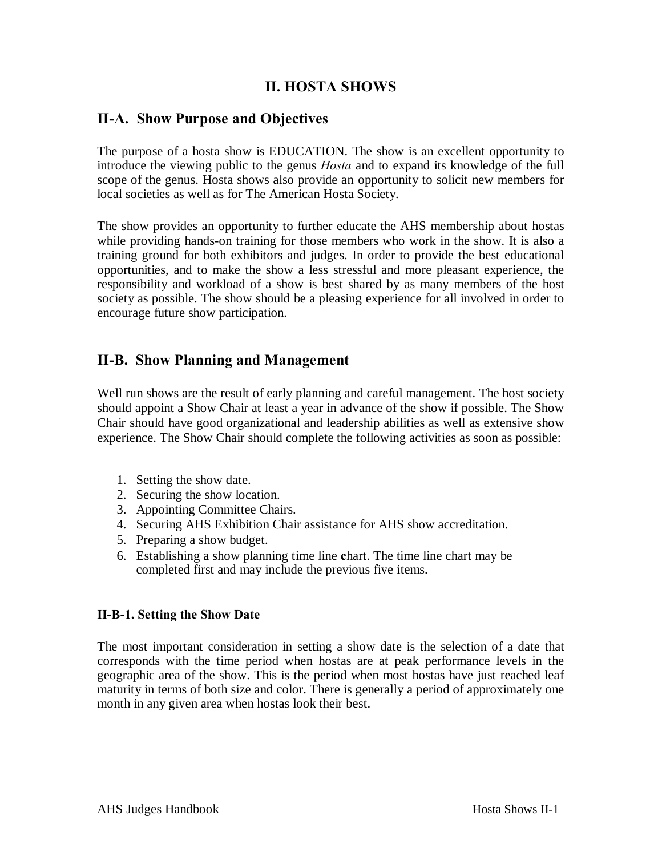### **II. HOSTA SHOWS**

### **II-A. Show Purpose and Objectives**

The purpose of a hosta show is EDUCATION. The show is an excellent opportunity to introduce the viewing public to the genus *Hosta* and to expand its knowledge of the full scope of the genus. Hosta shows also provide an opportunity to solicit new members for local societies as well as for The American Hosta Society.

The show provides an opportunity to further educate the AHS membership about hostas while providing hands-on training for those members who work in the show. It is also a training ground for both exhibitors and judges. In order to provide the best educational opportunities, and to make the show a less stressful and more pleasant experience, the responsibility and workload of a show is best shared by as many members of the host society as possible. The show should be a pleasing experience for all involved in order to encourage future show participation.

### **II-B. Show Planning and Management**

Well run shows are the result of early planning and careful management. The host society should appoint a Show Chair at least a year in advance of the show if possible. The Show Chair should have good organizational and leadership abilities as well as extensive show experience. The Show Chair should complete the following activities as soon as possible:

- 1. Setting the show date.
- 2. Securing the show location.
- 3. Appointing Committee Chairs.
- 4. Securing AHS Exhibition Chair assistance for AHS show accreditation.
- 5. Preparing a show budget.
- 6. Establishing a show planning time line **c**hart. The time line chart may be completed first and may include the previous five items.

### **II-B-1. Setting the Show Date**

The most important consideration in setting a show date is the selection of a date that corresponds with the time period when hostas are at peak performance levels in the geographic area of the show. This is the period when most hostas have just reached leaf maturity in terms of both size and color. There is generally a period of approximately one month in any given area when hostas look their best.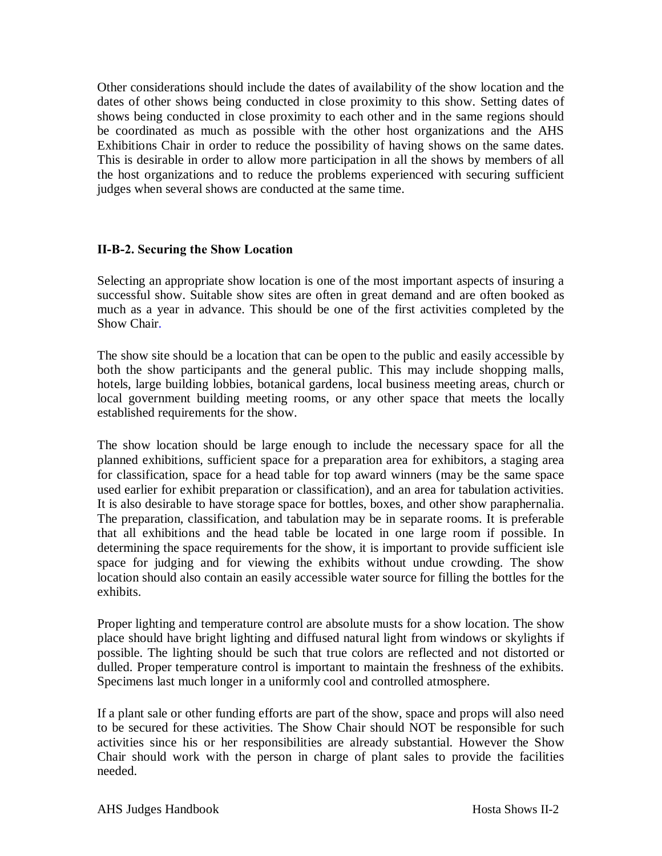Other considerations should include the dates of availability of the show location and the dates of other shows being conducted in close proximity to this show. Setting dates of shows being conducted in close proximity to each other and in the same regions should be coordinated as much as possible with the other host organizations and the AHS Exhibitions Chair in order to reduce the possibility of having shows on the same dates. This is desirable in order to allow more participation in all the shows by members of all the host organizations and to reduce the problems experienced with securing sufficient judges when several shows are conducted at the same time.

### **II-B-2. Securing the Show Location**

Selecting an appropriate show location is one of the most important aspects of insuring a successful show. Suitable show sites are often in great demand and are often booked as much as a year in advance. This should be one of the first activities completed by the Show Chair.

The show site should be a location that can be open to the public and easily accessible by both the show participants and the general public. This may include shopping malls, hotels, large building lobbies, botanical gardens, local business meeting areas, church or local government building meeting rooms, or any other space that meets the locally established requirements for the show.

The show location should be large enough to include the necessary space for all the planned exhibitions, sufficient space for a preparation area for exhibitors, a staging area for classification, space for a head table for top award winners (may be the same space used earlier for exhibit preparation or classification), and an area for tabulation activities. It is also desirable to have storage space for bottles, boxes, and other show paraphernalia. The preparation, classification, and tabulation may be in separate rooms. It is preferable that all exhibitions and the head table be located in one large room if possible. In determining the space requirements for the show, it is important to provide sufficient isle space for judging and for viewing the exhibits without undue crowding. The show location should also contain an easily accessible water source for filling the bottles for the exhibits.

Proper lighting and temperature control are absolute musts for a show location. The show place should have bright lighting and diffused natural light from windows or skylights if possible. The lighting should be such that true colors are reflected and not distorted or dulled. Proper temperature control is important to maintain the freshness of the exhibits. Specimens last much longer in a uniformly cool and controlled atmosphere.

If a plant sale or other funding efforts are part of the show, space and props will also need to be secured for these activities. The Show Chair should NOT be responsible for such activities since his or her responsibilities are already substantial. However the Show Chair should work with the person in charge of plant sales to provide the facilities needed.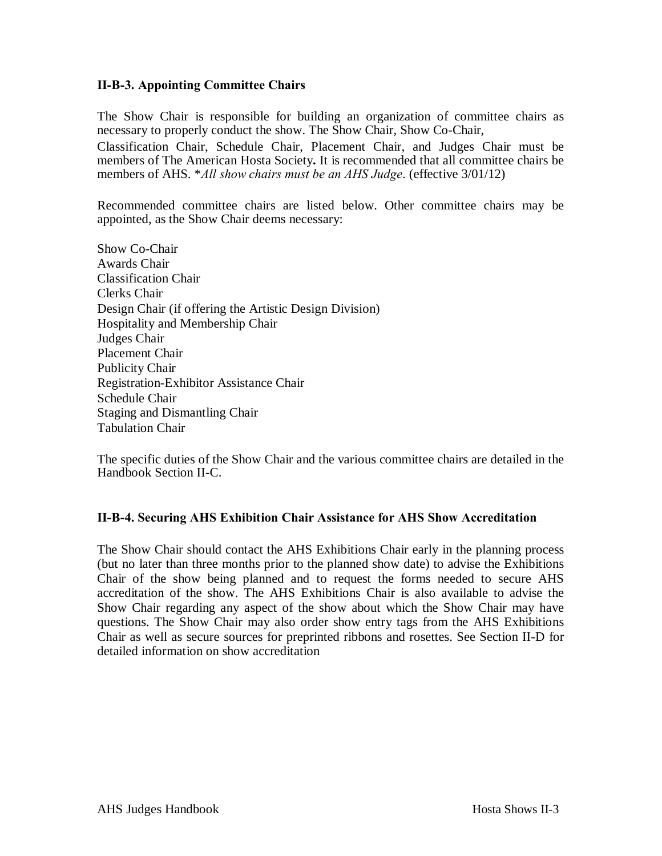### **II-B-3. Appointing Committee Chairs**

The Show Chair is responsible for building an organization of committee chairs as necessary to properly conduct the show. The Show Chair, Show Co-Chair,

Classification Chair, Schedule Chair, Placement Chair, and Judges Chair must be members of The American Hosta Society**.** It is recommended that all committee chairs be members of AHS. \**All show chairs must be an AHS Judge*. (effective 3/01/12)

Recommended committee chairs are listed below. Other committee chairs may be appointed, as the Show Chair deems necessary:

Show Co-Chair Awards Chair Classification Chair Clerks Chair Design Chair (if offering the Artistic Design Division) Hospitality and Membership Chair Judges Chair Placement Chair Publicity Chair Registration-Exhibitor Assistance Chair Schedule Chair Staging and Dismantling Chair Tabulation Chair

The specific duties of the Show Chair and the various committee chairs are detailed in the Handbook Section II-C.

### **II-B-4. Securing AHS Exhibition Chair Assistance for AHS Show Accreditation**

The Show Chair should contact the AHS Exhibitions Chair early in the planning process (but no later than three months prior to the planned show date) to advise the Exhibitions Chair of the show being planned and to request the forms needed to secure AHS accreditation of the show. The AHS Exhibitions Chair is also available to advise the Show Chair regarding any aspect of the show about which the Show Chair may have questions. The Show Chair may also order show entry tags from the AHS Exhibitions Chair as well as secure sources for preprinted ribbons and rosettes. See Section II-D for detailed information on show accreditation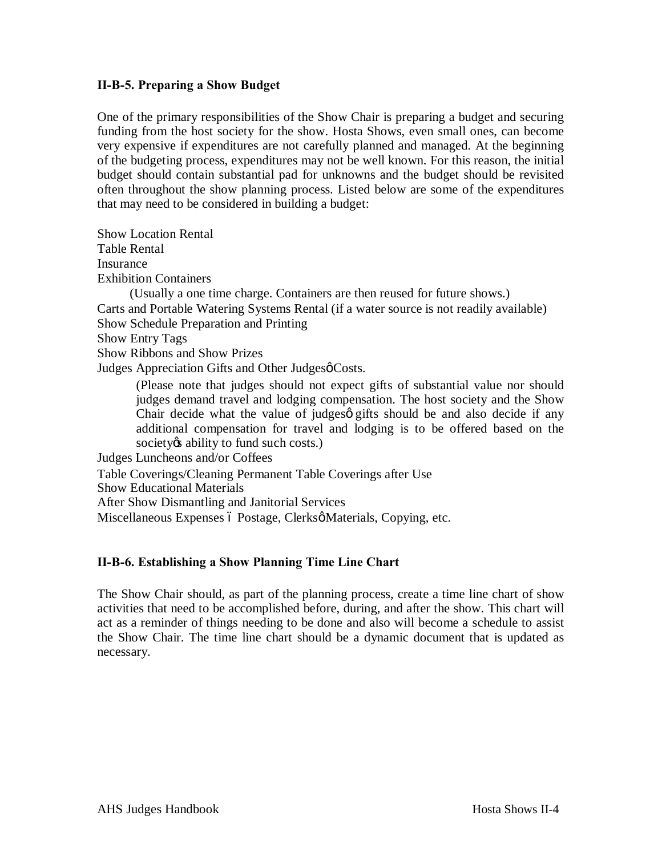### **II-B-5. Preparing a Show Budget**

One of the primary responsibilities of the Show Chair is preparing a budget and securing funding from the host society for the show. Hosta Shows, even small ones, can become very expensive if expenditures are not carefully planned and managed. At the beginning of the budgeting process, expenditures may not be well known. For this reason, the initial budget should contain substantial pad for unknowns and the budget should be revisited often throughout the show planning process. Listed below are some of the expenditures that may need to be considered in building a budget:

Show Location Rental Table Rental

Insurance

Exhibition Containers

(Usually a one time charge. Containers are then reused for future shows.) Carts and Portable Watering Systems Rental (if a water source is not readily available) Show Schedule Preparation and Printing

Show Entry Tags

Show Ribbons and Show Prizes

Judges Appreciation Gifts and Other Judgesø Costs.

(Please note that judges should not expect gifts of substantial value nor should judges demand travel and lodging compensation. The host society and the Show Chair decide what the value of judges ogifts should be and also decide if any additional compensation for travel and lodging is to be offered based on the society *is* ability to fund such costs.)

Judges Luncheons and/or Coffees

Table Coverings/Cleaning Permanent Table Coverings after Use

Show Educational Materials

After Show Dismantling and Janitorial Services

Miscellaneous Expenses ó Postage, Clerksø Materials, Copying, etc.

### **II-B-6. Establishing a Show Planning Time Line Chart**

The Show Chair should, as part of the planning process, create a time line chart of show activities that need to be accomplished before, during, and after the show. This chart will act as a reminder of things needing to be done and also will become a schedule to assist the Show Chair. The time line chart should be a dynamic document that is updated as necessary.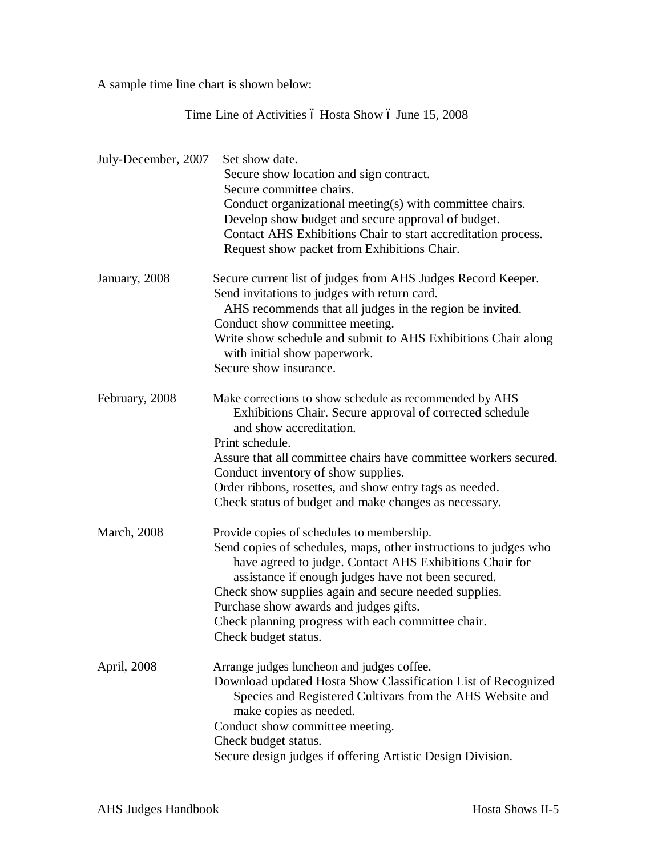A sample time line chart is shown below:

Time Line of Activities ó Hosta Show ó June 15, 2008

| July-December, 2007 | Set show date.<br>Secure show location and sign contract.<br>Secure committee chairs.<br>Conduct organizational meeting(s) with committee chairs.<br>Develop show budget and secure approval of budget.<br>Contact AHS Exhibitions Chair to start accreditation process.<br>Request show packet from Exhibitions Chair.                                                                                          |
|---------------------|------------------------------------------------------------------------------------------------------------------------------------------------------------------------------------------------------------------------------------------------------------------------------------------------------------------------------------------------------------------------------------------------------------------|
| January, 2008       | Secure current list of judges from AHS Judges Record Keeper.<br>Send invitations to judges with return card.<br>AHS recommends that all judges in the region be invited.<br>Conduct show committee meeting.<br>Write show schedule and submit to AHS Exhibitions Chair along<br>with initial show paperwork.<br>Secure show insurance.                                                                           |
| February, 2008      | Make corrections to show schedule as recommended by AHS<br>Exhibitions Chair. Secure approval of corrected schedule<br>and show accreditation.<br>Print schedule.<br>Assure that all committee chairs have committee workers secured.<br>Conduct inventory of show supplies.<br>Order ribbons, rosettes, and show entry tags as needed.<br>Check status of budget and make changes as necessary.                 |
| <b>March</b> , 2008 | Provide copies of schedules to membership.<br>Send copies of schedules, maps, other instructions to judges who<br>have agreed to judge. Contact AHS Exhibitions Chair for<br>assistance if enough judges have not been secured.<br>Check show supplies again and secure needed supplies.<br>Purchase show awards and judges gifts.<br>Check planning progress with each committee chair.<br>Check budget status. |
| April, 2008         | Arrange judges luncheon and judges coffee.<br>Download updated Hosta Show Classification List of Recognized<br>Species and Registered Cultivars from the AHS Website and<br>make copies as needed.<br>Conduct show committee meeting.<br>Check budget status.<br>Secure design judges if offering Artistic Design Division.                                                                                      |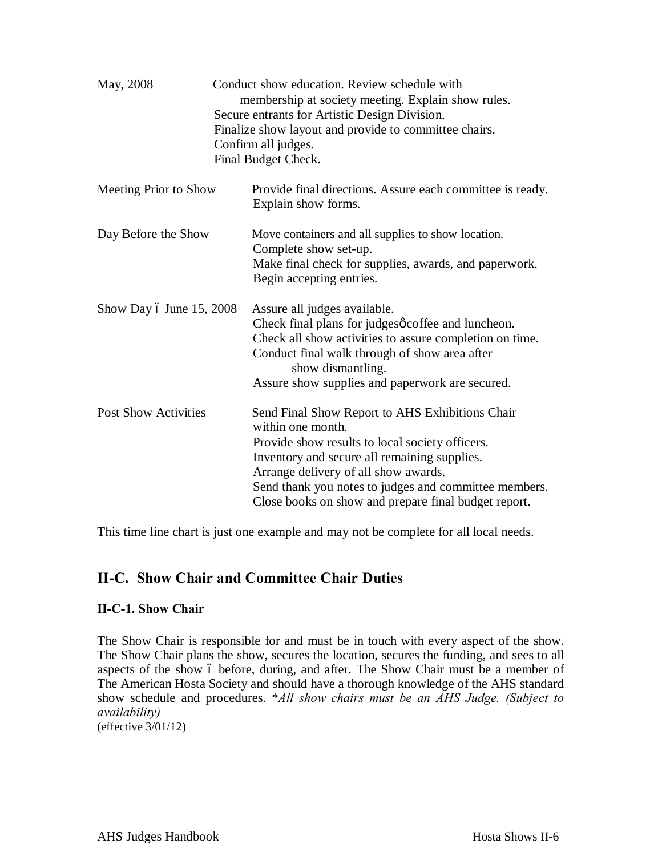| May, 2008                   | Conduct show education. Review schedule with<br>membership at society meeting. Explain show rules.<br>Secure entrants for Artistic Design Division.<br>Finalize show layout and provide to committee chairs.<br>Confirm all judges.<br>Final Budget Check.                                                                       |
|-----------------------------|----------------------------------------------------------------------------------------------------------------------------------------------------------------------------------------------------------------------------------------------------------------------------------------------------------------------------------|
| Meeting Prior to Show       | Provide final directions. Assure each committee is ready.<br>Explain show forms.                                                                                                                                                                                                                                                 |
| Day Before the Show         | Move containers and all supplies to show location.<br>Complete show set-up.<br>Make final check for supplies, awards, and paperwork.<br>Begin accepting entries.                                                                                                                                                                 |
| Show Day 6 June 15, 2008    | Assure all judges available.<br>Check final plans for judgesøcoffee and luncheon.<br>Check all show activities to assure completion on time.<br>Conduct final walk through of show area after<br>show dismantling.<br>Assure show supplies and paperwork are secured.                                                            |
| <b>Post Show Activities</b> | Send Final Show Report to AHS Exhibitions Chair<br>within one month.<br>Provide show results to local society officers.<br>Inventory and secure all remaining supplies.<br>Arrange delivery of all show awards.<br>Send thank you notes to judges and committee members.<br>Close books on show and prepare final budget report. |

This time line chart is just one example and may not be complete for all local needs.

### **II-C. Show Chair and Committee Chair Duties**

### **II-C-1. Show Chair**

The Show Chair is responsible for and must be in touch with every aspect of the show. The Show Chair plans the show, secures the location, secures the funding, and sees to all aspects of the show 6 before, during, and after. The Show Chair must be a member of The American Hosta Society and should have a thorough knowledge of the AHS standard show schedule and procedures. \**All show chairs must be an AHS Judge. (Subject to availability)* (effective 3/01/12)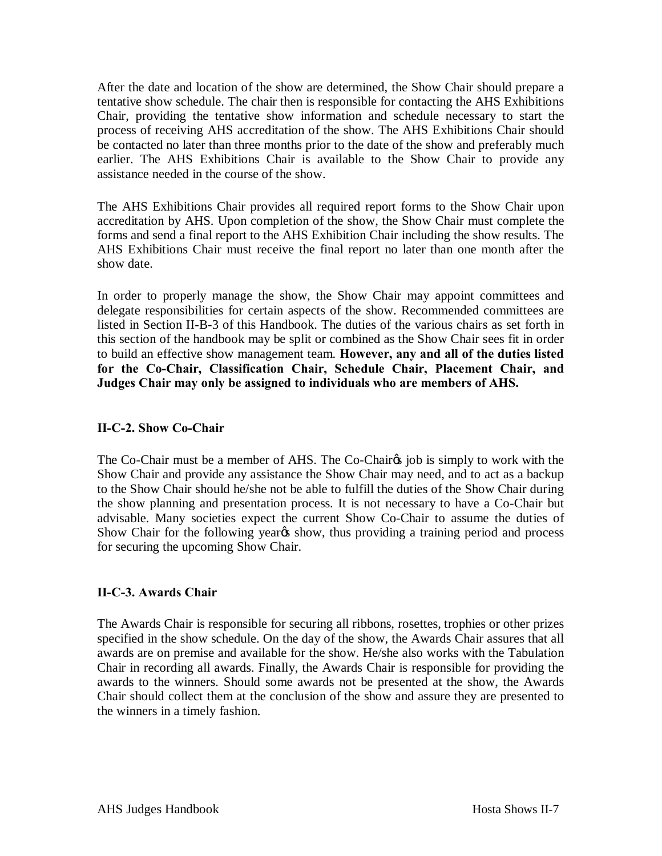After the date and location of the show are determined, the Show Chair should prepare a tentative show schedule. The chair then is responsible for contacting the AHS Exhibitions Chair, providing the tentative show information and schedule necessary to start the process of receiving AHS accreditation of the show. The AHS Exhibitions Chair should be contacted no later than three months prior to the date of the show and preferably much earlier. The AHS Exhibitions Chair is available to the Show Chair to provide any assistance needed in the course of the show.

The AHS Exhibitions Chair provides all required report forms to the Show Chair upon accreditation by AHS. Upon completion of the show, the Show Chair must complete the forms and send a final report to the AHS Exhibition Chair including the show results. The AHS Exhibitions Chair must receive the final report no later than one month after the show date.

In order to properly manage the show, the Show Chair may appoint committees and delegate responsibilities for certain aspects of the show. Recommended committees are listed in Section II-B-3 of this Handbook. The duties of the various chairs as set forth in this section of the handbook may be split or combined as the Show Chair sees fit in order to build an effective show management team. **However, any and all of the duties listed for the Co-Chair, Classification Chair, Schedule Chair, Placement Chair, and Judges Chair may only be assigned to individuals who are members of AHS.**

### **II-C-2. Show Co-Chair**

The Co-Chair must be a member of AHS. The Co-Chaires job is simply to work with the Show Chair and provide any assistance the Show Chair may need, and to act as a backup to the Show Chair should he/she not be able to fulfill the duties of the Show Chair during the show planning and presentation process. It is not necessary to have a Co-Chair but advisable. Many societies expect the current Show Co-Chair to assume the duties of Show Chair for the following year<sub>%</sub> show, thus providing a training period and process for securing the upcoming Show Chair.

### **II-C-3. Awards Chair**

The Awards Chair is responsible for securing all ribbons, rosettes, trophies or other prizes specified in the show schedule. On the day of the show, the Awards Chair assures that all awards are on premise and available for the show. He/she also works with the Tabulation Chair in recording all awards. Finally, the Awards Chair is responsible for providing the awards to the winners. Should some awards not be presented at the show, the Awards Chair should collect them at the conclusion of the show and assure they are presented to the winners in a timely fashion.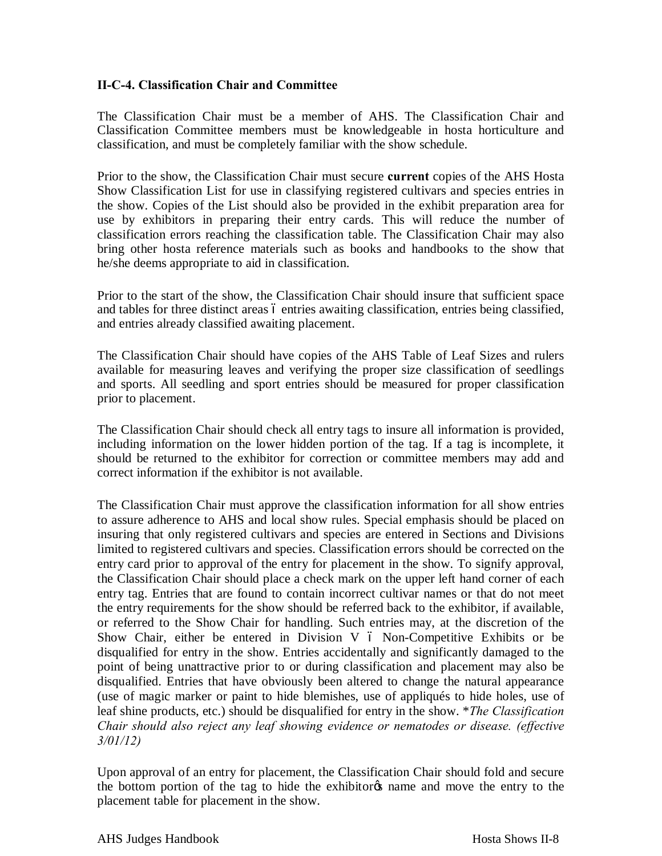### **II-C-4. Classification Chair and Committee**

The Classification Chair must be a member of AHS. The Classification Chair and Classification Committee members must be knowledgeable in hosta horticulture and classification, and must be completely familiar with the show schedule.

Prior to the show, the Classification Chair must secure **current** copies of the AHS Hosta Show Classification List for use in classifying registered cultivars and species entries in the show. Copies of the List should also be provided in the exhibit preparation area for use by exhibitors in preparing their entry cards. This will reduce the number of classification errors reaching the classification table. The Classification Chair may also bring other hosta reference materials such as books and handbooks to the show that he/she deems appropriate to aid in classification.

Prior to the start of the show, the Classification Chair should insure that sufficient space and tables for three distinct areas 6 entries awaiting classification, entries being classified, and entries already classified awaiting placement.

The Classification Chair should have copies of the AHS Table of Leaf Sizes and rulers available for measuring leaves and verifying the proper size classification of seedlings and sports. All seedling and sport entries should be measured for proper classification prior to placement.

The Classification Chair should check all entry tags to insure all information is provided, including information on the lower hidden portion of the tag. If a tag is incomplete, it should be returned to the exhibitor for correction or committee members may add and correct information if the exhibitor is not available.

The Classification Chair must approve the classification information for all show entries to assure adherence to AHS and local show rules. Special emphasis should be placed on insuring that only registered cultivars and species are entered in Sections and Divisions limited to registered cultivars and species. Classification errors should be corrected on the entry card prior to approval of the entry for placement in the show. To signify approval, the Classification Chair should place a check mark on the upper left hand corner of each entry tag. Entries that are found to contain incorrect cultivar names or that do not meet the entry requirements for the show should be referred back to the exhibitor, if available, or referred to the Show Chair for handling. Such entries may, at the discretion of the Show Chair, either be entered in Division V  $\acute{o}$  Non-Competitive Exhibits or be disqualified for entry in the show. Entries accidentally and significantly damaged to the point of being unattractive prior to or during classification and placement may also be disqualified. Entries that have obviously been altered to change the natural appearance (use of magic marker or paint to hide blemishes, use of appliqués to hide holes, use of leaf shine products, etc.) should be disqualified for entry in the show. \**The Classification Chair should also reject any leaf showing evidence or nematodes or disease. (effective 3/01/12)*

Upon approval of an entry for placement, the Classification Chair should fold and secure the bottom portion of the tag to hide the exhibitor of name and move the entry to the placement table for placement in the show.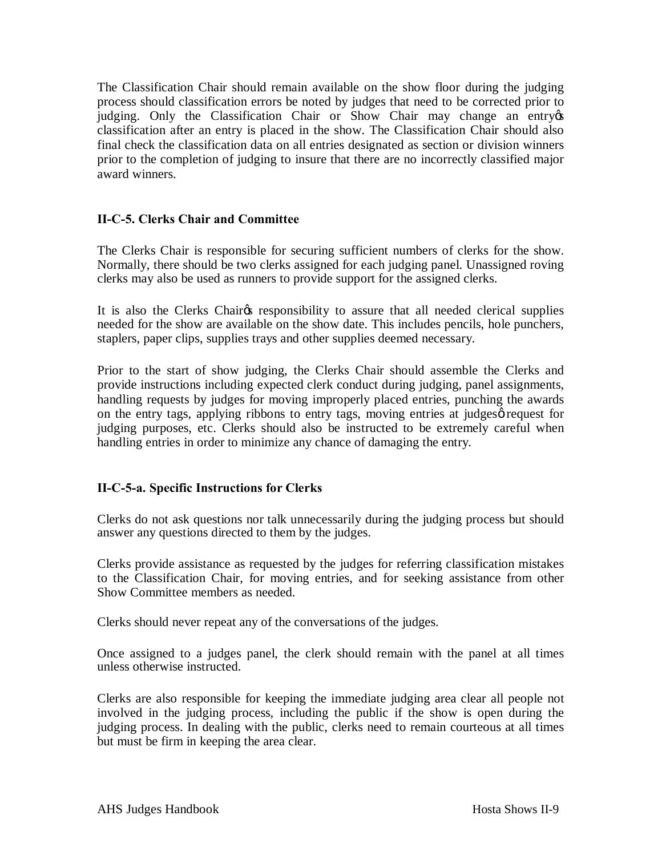The Classification Chair should remain available on the show floor during the judging process should classification errors be noted by judges that need to be corrected prior to judging. Only the Classification Chair or Show Chair may change an entry of classification after an entry is placed in the show. The Classification Chair should also final check the classification data on all entries designated as section or division winners prior to the completion of judging to insure that there are no incorrectly classified major award winners.

### **II-C-5. Clerks Chair and Committee**

The Clerks Chair is responsible for securing sufficient numbers of clerks for the show. Normally, there should be two clerks assigned for each judging panel. Unassigned roving clerks may also be used as runners to provide support for the assigned clerks.

It is also the Clerks Chair<sub>C</sub>'s responsibility to assure that all needed clerical supplies needed for the show are available on the show date. This includes pencils, hole punchers, staplers, paper clips, supplies trays and other supplies deemed necessary.

Prior to the start of show judging, the Clerks Chair should assemble the Clerks and provide instructions including expected clerk conduct during judging, panel assignments, handling requests by judges for moving improperly placed entries, punching the awards on the entry tags, applying ribbons to entry tags, moving entries at judges of request for judging purposes, etc. Clerks should also be instructed to be extremely careful when handling entries in order to minimize any chance of damaging the entry.

### **II-C-5-a. Specific Instructions for Clerks**

Clerks do not ask questions nor talk unnecessarily during the judging process but should answer any questions directed to them by the judges.

Clerks provide assistance as requested by the judges for referring classification mistakes to the Classification Chair, for moving entries, and for seeking assistance from other Show Committee members as needed.

Clerks should never repeat any of the conversations of the judges.

Once assigned to a judges panel, the clerk should remain with the panel at all times unless otherwise instructed.

Clerks are also responsible for keeping the immediate judging area clear all people not involved in the judging process, including the public if the show is open during the judging process. In dealing with the public, clerks need to remain courteous at all times but must be firm in keeping the area clear.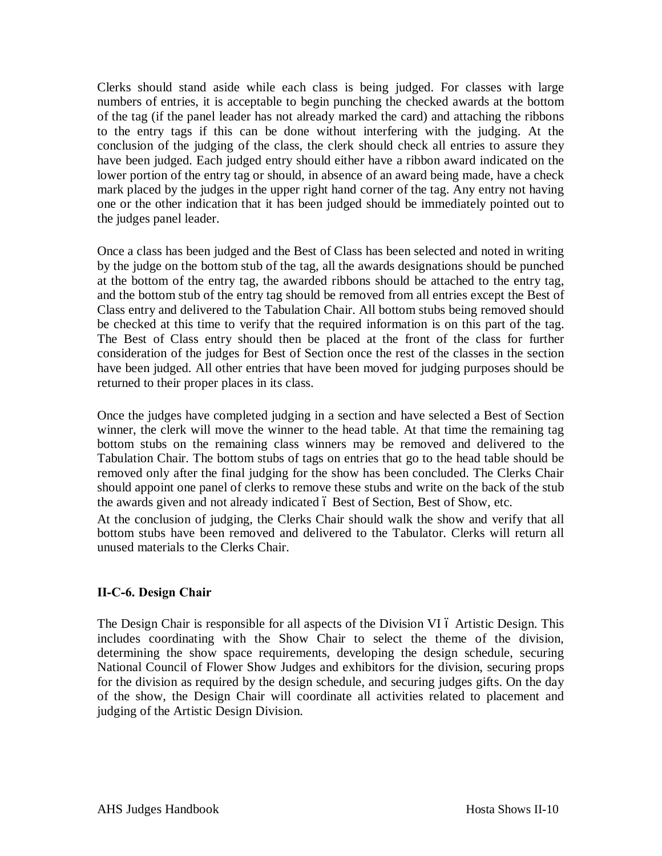Clerks should stand aside while each class is being judged. For classes with large numbers of entries, it is acceptable to begin punching the checked awards at the bottom of the tag (if the panel leader has not already marked the card) and attaching the ribbons to the entry tags if this can be done without interfering with the judging. At the conclusion of the judging of the class, the clerk should check all entries to assure they have been judged. Each judged entry should either have a ribbon award indicated on the lower portion of the entry tag or should, in absence of an award being made, have a check mark placed by the judges in the upper right hand corner of the tag. Any entry not having one or the other indication that it has been judged should be immediately pointed out to the judges panel leader.

Once a class has been judged and the Best of Class has been selected and noted in writing by the judge on the bottom stub of the tag, all the awards designations should be punched at the bottom of the entry tag, the awarded ribbons should be attached to the entry tag, and the bottom stub of the entry tag should be removed from all entries except the Best of Class entry and delivered to the Tabulation Chair. All bottom stubs being removed should be checked at this time to verify that the required information is on this part of the tag. The Best of Class entry should then be placed at the front of the class for further consideration of the judges for Best of Section once the rest of the classes in the section have been judged. All other entries that have been moved for judging purposes should be returned to their proper places in its class.

Once the judges have completed judging in a section and have selected a Best of Section winner, the clerk will move the winner to the head table. At that time the remaining tag bottom stubs on the remaining class winners may be removed and delivered to the Tabulation Chair. The bottom stubs of tags on entries that go to the head table should be removed only after the final judging for the show has been concluded. The Clerks Chair should appoint one panel of clerks to remove these stubs and write on the back of the stub the awards given and not already indicated 6 Best of Section, Best of Show, etc.

At the conclusion of judging, the Clerks Chair should walk the show and verify that all bottom stubs have been removed and delivered to the Tabulator. Clerks will return all unused materials to the Clerks Chair.

### **II-C-6. Design Chair**

The Design Chair is responsible for all aspects of the Division VI 6 Artistic Design. This includes coordinating with the Show Chair to select the theme of the division, determining the show space requirements, developing the design schedule, securing National Council of Flower Show Judges and exhibitors for the division, securing props for the division as required by the design schedule, and securing judges gifts. On the day of the show, the Design Chair will coordinate all activities related to placement and judging of the Artistic Design Division.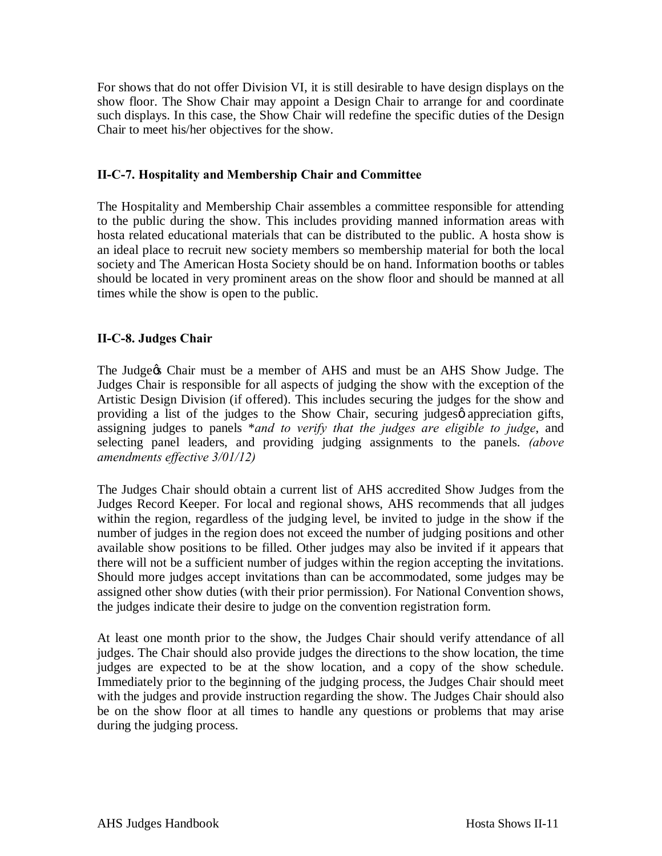For shows that do not offer Division VI, it is still desirable to have design displays on the show floor. The Show Chair may appoint a Design Chair to arrange for and coordinate such displays. In this case, the Show Chair will redefine the specific duties of the Design Chair to meet his/her objectives for the show.

### **II-C-7. Hospitality and Membership Chair and Committee**

The Hospitality and Membership Chair assembles a committee responsible for attending to the public during the show. This includes providing manned information areas with hosta related educational materials that can be distributed to the public. A hosta show is an ideal place to recruit new society members so membership material for both the local society and The American Hosta Society should be on hand. Information booths or tables should be located in very prominent areas on the show floor and should be manned at all times while the show is open to the public.

### **II-C-8. Judges Chair**

The Judge & Chair must be a member of AHS and must be an AHS Show Judge. The Judges Chair is responsible for all aspects of judging the show with the exception of the Artistic Design Division (if offered). This includes securing the judges for the show and providing a list of the judges to the Show Chair, securing judges  $\phi$  appreciation gifts, assigning judges to panels \**and to verify that the judges are eligible to judge*, and selecting panel leaders, and providing judging assignments to the panels. *(above amendments effective 3/01/12)*

The Judges Chair should obtain a current list of AHS accredited Show Judges from the Judges Record Keeper. For local and regional shows, AHS recommends that all judges within the region, regardless of the judging level, be invited to judge in the show if the number of judges in the region does not exceed the number of judging positions and other available show positions to be filled. Other judges may also be invited if it appears that there will not be a sufficient number of judges within the region accepting the invitations. Should more judges accept invitations than can be accommodated, some judges may be assigned other show duties (with their prior permission). For National Convention shows, the judges indicate their desire to judge on the convention registration form.

At least one month prior to the show, the Judges Chair should verify attendance of all judges. The Chair should also provide judges the directions to the show location, the time judges are expected to be at the show location, and a copy of the show schedule. Immediately prior to the beginning of the judging process, the Judges Chair should meet with the judges and provide instruction regarding the show. The Judges Chair should also be on the show floor at all times to handle any questions or problems that may arise during the judging process.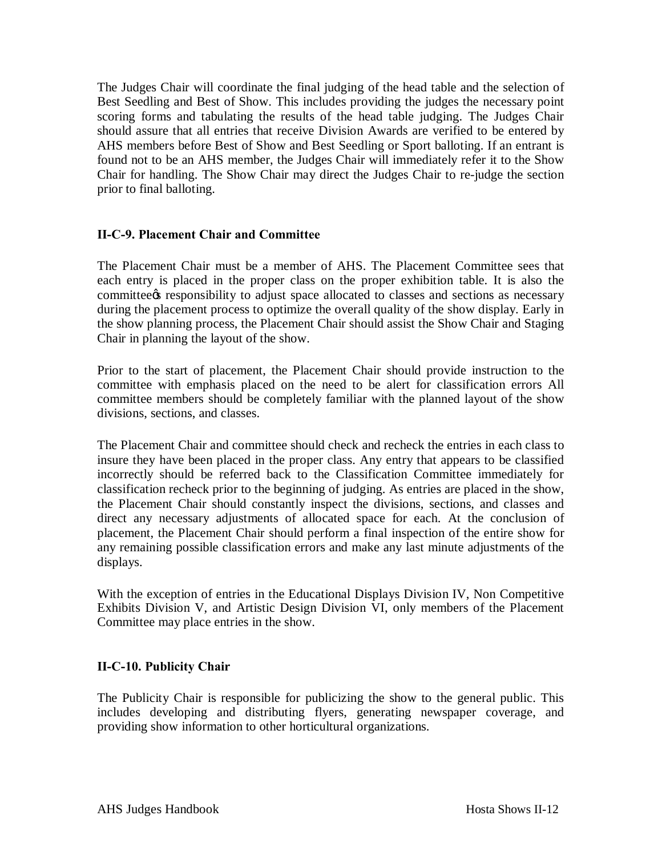The Judges Chair will coordinate the final judging of the head table and the selection of Best Seedling and Best of Show. This includes providing the judges the necessary point scoring forms and tabulating the results of the head table judging. The Judges Chair should assure that all entries that receive Division Awards are verified to be entered by AHS members before Best of Show and Best Seedling or Sport balloting. If an entrant is found not to be an AHS member, the Judges Chair will immediately refer it to the Show Chair for handling. The Show Chair may direct the Judges Chair to re-judge the section prior to final balloting.

### **II-C-9. Placement Chair and Committee**

The Placement Chair must be a member of AHS. The Placement Committee sees that each entry is placed in the proper class on the proper exhibition table. It is also the committee the responsibility to adjust space allocated to classes and sections as necessary during the placement process to optimize the overall quality of the show display. Early in the show planning process, the Placement Chair should assist the Show Chair and Staging Chair in planning the layout of the show.

Prior to the start of placement, the Placement Chair should provide instruction to the committee with emphasis placed on the need to be alert for classification errors All committee members should be completely familiar with the planned layout of the show divisions, sections, and classes.

The Placement Chair and committee should check and recheck the entries in each class to insure they have been placed in the proper class. Any entry that appears to be classified incorrectly should be referred back to the Classification Committee immediately for classification recheck prior to the beginning of judging. As entries are placed in the show, the Placement Chair should constantly inspect the divisions, sections, and classes and direct any necessary adjustments of allocated space for each. At the conclusion of placement, the Placement Chair should perform a final inspection of the entire show for any remaining possible classification errors and make any last minute adjustments of the displays.

With the exception of entries in the Educational Displays Division IV, Non Competitive Exhibits Division V, and Artistic Design Division VI, only members of the Placement Committee may place entries in the show.

### **II-C-10. Publicity Chair**

The Publicity Chair is responsible for publicizing the show to the general public. This includes developing and distributing flyers, generating newspaper coverage, and providing show information to other horticultural organizations.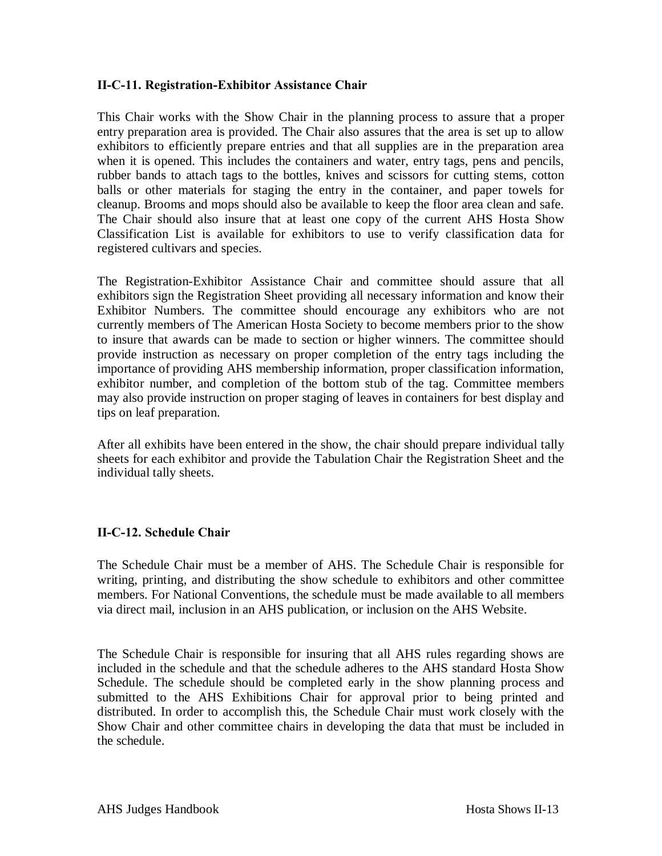### **II-C-11. Registration-Exhibitor Assistance Chair**

This Chair works with the Show Chair in the planning process to assure that a proper entry preparation area is provided. The Chair also assures that the area is set up to allow exhibitors to efficiently prepare entries and that all supplies are in the preparation area when it is opened. This includes the containers and water, entry tags, pens and pencils, rubber bands to attach tags to the bottles, knives and scissors for cutting stems, cotton balls or other materials for staging the entry in the container, and paper towels for cleanup. Brooms and mops should also be available to keep the floor area clean and safe. The Chair should also insure that at least one copy of the current AHS Hosta Show Classification List is available for exhibitors to use to verify classification data for registered cultivars and species.

The Registration-Exhibitor Assistance Chair and committee should assure that all exhibitors sign the Registration Sheet providing all necessary information and know their Exhibitor Numbers. The committee should encourage any exhibitors who are not currently members of The American Hosta Society to become members prior to the show to insure that awards can be made to section or higher winners. The committee should provide instruction as necessary on proper completion of the entry tags including the importance of providing AHS membership information, proper classification information, exhibitor number, and completion of the bottom stub of the tag. Committee members may also provide instruction on proper staging of leaves in containers for best display and tips on leaf preparation.

After all exhibits have been entered in the show, the chair should prepare individual tally sheets for each exhibitor and provide the Tabulation Chair the Registration Sheet and the individual tally sheets.

### **II-C-12. Schedule Chair**

The Schedule Chair must be a member of AHS. The Schedule Chair is responsible for writing, printing, and distributing the show schedule to exhibitors and other committee members. For National Conventions, the schedule must be made available to all members via direct mail, inclusion in an AHS publication, or inclusion on the AHS Website.

The Schedule Chair is responsible for insuring that all AHS rules regarding shows are included in the schedule and that the schedule adheres to the AHS standard Hosta Show Schedule. The schedule should be completed early in the show planning process and submitted to the AHS Exhibitions Chair for approval prior to being printed and distributed. In order to accomplish this, the Schedule Chair must work closely with the Show Chair and other committee chairs in developing the data that must be included in the schedule.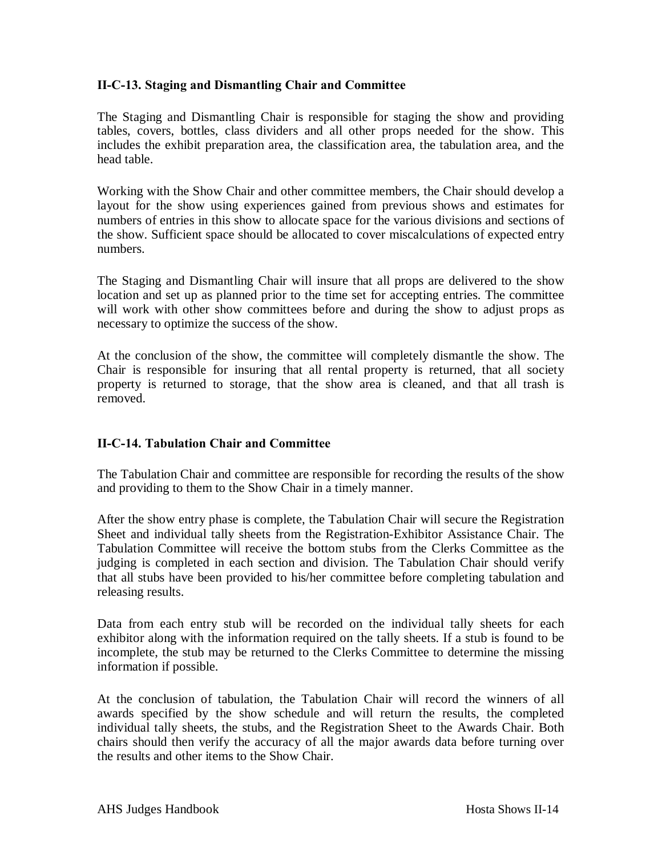### **II-C-13. Staging and Dismantling Chair and Committee**

The Staging and Dismantling Chair is responsible for staging the show and providing tables, covers, bottles, class dividers and all other props needed for the show. This includes the exhibit preparation area, the classification area, the tabulation area, and the head table.

Working with the Show Chair and other committee members, the Chair should develop a layout for the show using experiences gained from previous shows and estimates for numbers of entries in this show to allocate space for the various divisions and sections of the show. Sufficient space should be allocated to cover miscalculations of expected entry numbers.

The Staging and Dismantling Chair will insure that all props are delivered to the show location and set up as planned prior to the time set for accepting entries. The committee will work with other show committees before and during the show to adjust props as necessary to optimize the success of the show.

At the conclusion of the show, the committee will completely dismantle the show. The Chair is responsible for insuring that all rental property is returned, that all society property is returned to storage, that the show area is cleaned, and that all trash is removed.

### **II-C-14. Tabulation Chair and Committee**

The Tabulation Chair and committee are responsible for recording the results of the show and providing to them to the Show Chair in a timely manner.

After the show entry phase is complete, the Tabulation Chair will secure the Registration Sheet and individual tally sheets from the Registration-Exhibitor Assistance Chair. The Tabulation Committee will receive the bottom stubs from the Clerks Committee as the judging is completed in each section and division. The Tabulation Chair should verify that all stubs have been provided to his/her committee before completing tabulation and releasing results.

Data from each entry stub will be recorded on the individual tally sheets for each exhibitor along with the information required on the tally sheets. If a stub is found to be incomplete, the stub may be returned to the Clerks Committee to determine the missing information if possible.

At the conclusion of tabulation, the Tabulation Chair will record the winners of all awards specified by the show schedule and will return the results, the completed individual tally sheets, the stubs, and the Registration Sheet to the Awards Chair. Both chairs should then verify the accuracy of all the major awards data before turning over the results and other items to the Show Chair.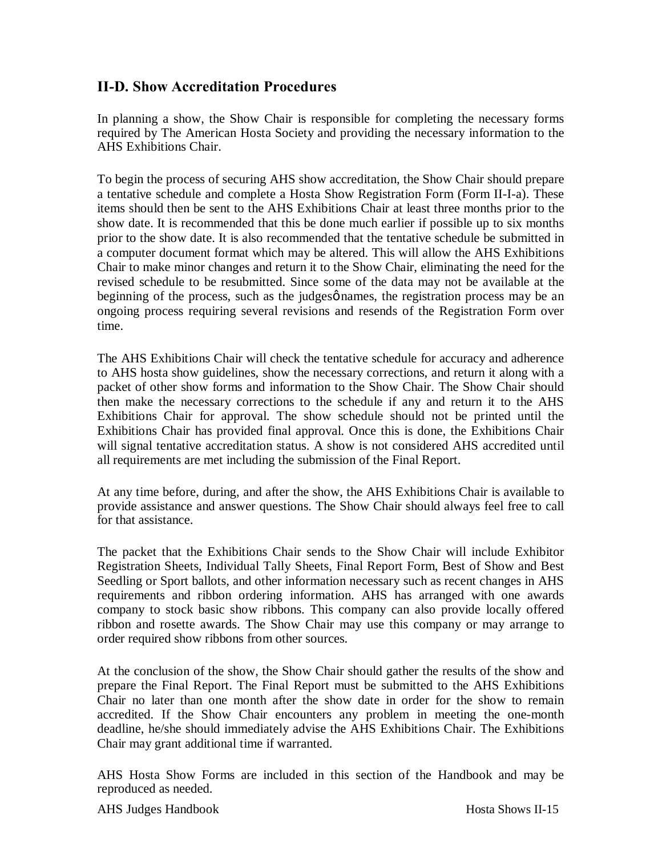### **II-D. Show Accreditation Procedures**

In planning a show, the Show Chair is responsible for completing the necessary forms required by The American Hosta Society and providing the necessary information to the AHS Exhibitions Chair.

To begin the process of securing AHS show accreditation, the Show Chair should prepare a tentative schedule and complete a Hosta Show Registration Form (Form II-I-a). These items should then be sent to the AHS Exhibitions Chair at least three months prior to the show date. It is recommended that this be done much earlier if possible up to six months prior to the show date. It is also recommended that the tentative schedule be submitted in a computer document format which may be altered. This will allow the AHS Exhibitions Chair to make minor changes and return it to the Show Chair, eliminating the need for the revised schedule to be resubmitted. Since some of the data may not be available at the beginning of the process, such as the judges  $\phi$  names, the registration process may be an ongoing process requiring several revisions and resends of the Registration Form over time.

The AHS Exhibitions Chair will check the tentative schedule for accuracy and adherence to AHS hosta show guidelines, show the necessary corrections, and return it along with a packet of other show forms and information to the Show Chair. The Show Chair should then make the necessary corrections to the schedule if any and return it to the AHS Exhibitions Chair for approval. The show schedule should not be printed until the Exhibitions Chair has provided final approval. Once this is done, the Exhibitions Chair will signal tentative accreditation status. A show is not considered AHS accredited until all requirements are met including the submission of the Final Report.

At any time before, during, and after the show, the AHS Exhibitions Chair is available to provide assistance and answer questions. The Show Chair should always feel free to call for that assistance.

The packet that the Exhibitions Chair sends to the Show Chair will include Exhibitor Registration Sheets, Individual Tally Sheets, Final Report Form, Best of Show and Best Seedling or Sport ballots, and other information necessary such as recent changes in AHS requirements and ribbon ordering information. AHS has arranged with one awards company to stock basic show ribbons. This company can also provide locally offered ribbon and rosette awards. The Show Chair may use this company or may arrange to order required show ribbons from other sources.

At the conclusion of the show, the Show Chair should gather the results of the show and prepare the Final Report. The Final Report must be submitted to the AHS Exhibitions Chair no later than one month after the show date in order for the show to remain accredited. If the Show Chair encounters any problem in meeting the one-month deadline, he/she should immediately advise the AHS Exhibitions Chair. The Exhibitions Chair may grant additional time if warranted.

AHS Hosta Show Forms are included in this section of the Handbook and may be reproduced as needed.

AHS Judges Handbook **Hosta** Shows II-15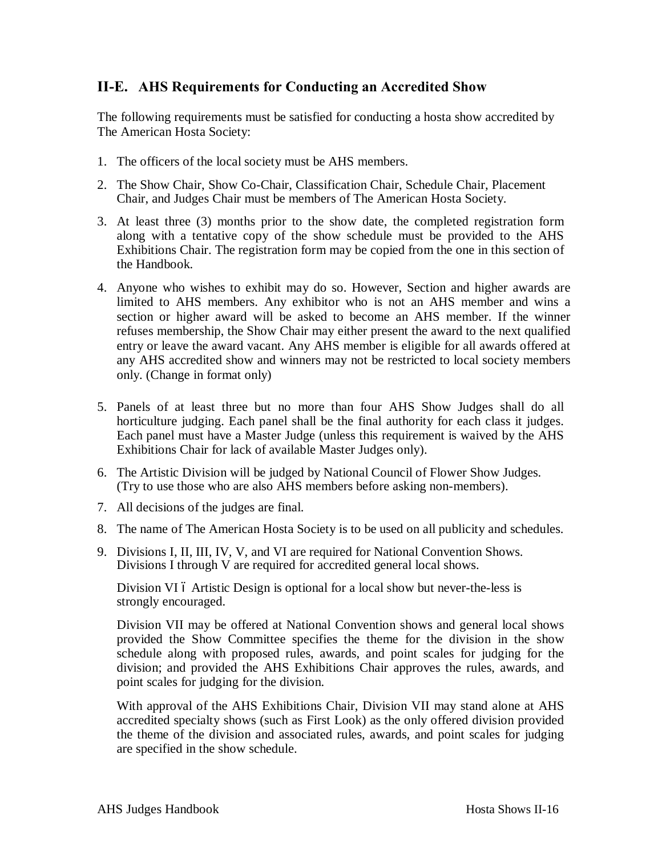### **II-E. AHS Requirements for Conducting an Accredited Show**

The following requirements must be satisfied for conducting a hosta show accredited by The American Hosta Society:

- 1. The officers of the local society must be AHS members.
- 2. The Show Chair, Show Co-Chair, Classification Chair, Schedule Chair, Placement Chair, and Judges Chair must be members of The American Hosta Society.
- 3. At least three (3) months prior to the show date, the completed registration form along with a tentative copy of the show schedule must be provided to the AHS Exhibitions Chair. The registration form may be copied from the one in this section of the Handbook.
- 4. Anyone who wishes to exhibit may do so. However, Section and higher awards are limited to AHS members. Any exhibitor who is not an AHS member and wins a section or higher award will be asked to become an AHS member. If the winner refuses membership, the Show Chair may either present the award to the next qualified entry or leave the award vacant. Any AHS member is eligible for all awards offered at any AHS accredited show and winners may not be restricted to local society members only. (Change in format only)
- 5. Panels of at least three but no more than four AHS Show Judges shall do all horticulture judging. Each panel shall be the final authority for each class it judges. Each panel must have a Master Judge (unless this requirement is waived by the AHS Exhibitions Chair for lack of available Master Judges only).
- 6. The Artistic Division will be judged by National Council of Flower Show Judges. (Try to use those who are also AHS members before asking non-members).
- 7. All decisions of the judges are final.
- 8. The name of The American Hosta Society is to be used on all publicity and schedules.
- 9. Divisions I, II, III, IV, V, and VI are required for National Convention Shows. Divisions I through V are required for accredited general local shows.

Division VI ó Artistic Design is optional for a local show but never-the-less is strongly encouraged.

Division VII may be offered at National Convention shows and general local shows provided the Show Committee specifies the theme for the division in the show schedule along with proposed rules, awards, and point scales for judging for the division; and provided the AHS Exhibitions Chair approves the rules, awards, and point scales for judging for the division.

With approval of the AHS Exhibitions Chair, Division VII may stand alone at AHS accredited specialty shows (such as First Look) as the only offered division provided the theme of the division and associated rules, awards, and point scales for judging are specified in the show schedule.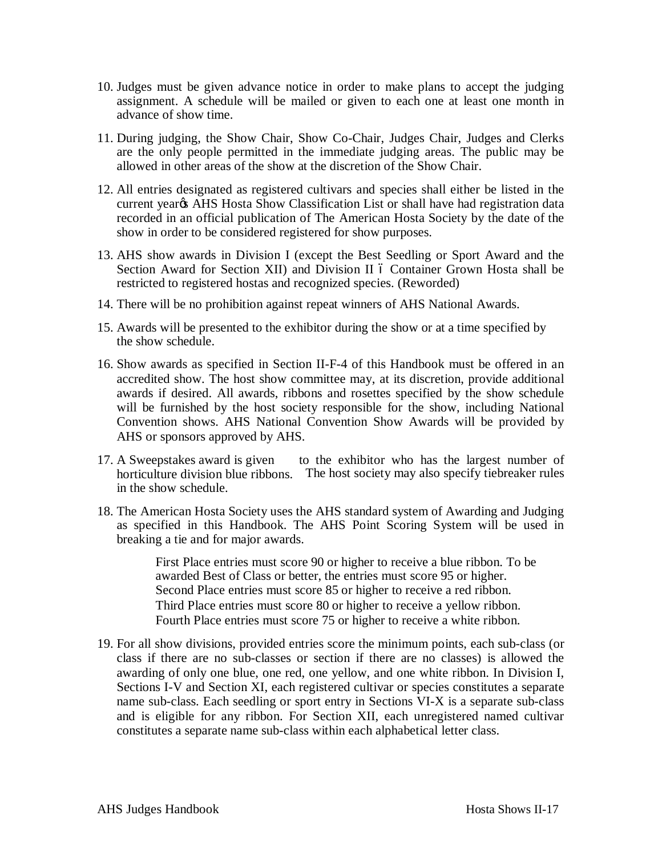- 10. Judges must be given advance notice in order to make plans to accept the judging assignment. A schedule will be mailed or given to each one at least one month in advance of show time.
- 11. During judging, the Show Chair, Show Co-Chair, Judges Chair, Judges and Clerks are the only people permitted in the immediate judging areas. The public may be allowed in other areas of the show at the discretion of the Show Chair.
- 12. All entries designated as registered cultivars and species shall either be listed in the current year<sub>®</sub> AHS Hosta Show Classification List or shall have had registration data recorded in an official publication of The American Hosta Society by the date of the show in order to be considered registered for show purposes.
- 13. AHS show awards in Division I (except the Best Seedling or Sport Award and the Section Award for Section XII) and Division II 6 Container Grown Hosta shall be restricted to registered hostas and recognized species. (Reworded)
- 14. There will be no prohibition against repeat winners of AHS National Awards.
- 15. Awards will be presented to the exhibitor during the show or at a time specified by the show schedule.
- 16. Show awards as specified in Section II-F-4 of this Handbook must be offered in an accredited show. The host show committee may, at its discretion, provide additional awards if desired. All awards, ribbons and rosettes specified by the show schedule will be furnished by the host society responsible for the show, including National Convention shows. AHS National Convention Show Awards will be provided by AHS or sponsors approved by AHS.
- 17. A Sweepstakes award is given horticulture division blue ribbons. The host society may also specify tiebreaker rules in the show schedule. to the exhibitor who has the largest number of
- 18. The American Hosta Society uses the AHS standard system of Awarding and Judging as specified in this Handbook. The AHS Point Scoring System will be used in breaking a tie and for major awards.
	- ï First Place entries must score 90 or higher to receive a blue ribbon. To be awarded Best of Class or better, the entries must score 95 or higher.
	- ï Second Place entries must score 85 or higher to receive a red ribbon.
	- ï Third Place entries must score 80 or higher to receive a yellow ribbon.
	- ï Fourth Place entries must score 75 or higher to receive a white ribbon.
- 19. For all show divisions, provided entries score the minimum points, each sub-class (or class if there are no sub-classes or section if there are no classes) is allowed the awarding of only one blue, one red, one yellow, and one white ribbon. In Division I, Sections I-V and Section XI, each registered cultivar or species constitutes a separate name sub-class. Each seedling or sport entry in Sections VI-X is a separate sub-class and is eligible for any ribbon. For Section XII, each unregistered named cultivar constitutes a separate name sub-class within each alphabetical letter class.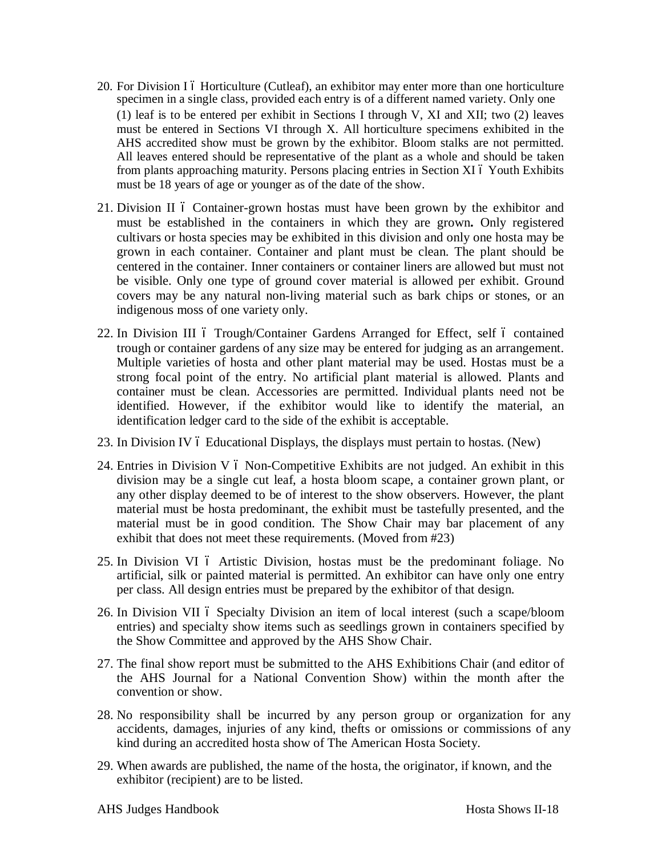- 20. For Division I 6 Horticulture (Cutleaf), an exhibitor may enter more than one horticulture specimen in a single class, provided each entry is of a different named variety. Only one (1) leaf is to be entered per exhibit in Sections I through V, XI and XII; two (2) leaves must be entered in Sections VI through X. All horticulture specimens exhibited in the AHS accredited show must be grown by the exhibitor. Bloom stalks are not permitted. All leaves entered should be representative of the plant as a whole and should be taken from plants approaching maturity. Persons placing entries in Section XI 6 Youth Exhibits must be 18 years of age or younger as of the date of the show.
- 21. Division II 6 Container-grown hostas must have been grown by the exhibitor and must be established in the containers in which they are grown**.** Only registered cultivars or hosta species may be exhibited in this division and only one hosta may be grown in each container. Container and plant must be clean. The plant should be centered in the container. Inner containers or container liners are allowed but must not be visible. Only one type of ground cover material is allowed per exhibit. Ground covers may be any natural non-living material such as bark chips or stones, or an indigenous moss of one variety only.
- 22. In Division III 6 Trough/Container Gardens Arranged for Effect, self 6 contained trough or container gardens of any size may be entered for judging as an arrangement. Multiple varieties of hosta and other plant material may be used. Hostas must be a strong focal point of the entry. No artificial plant material is allowed. Plants and container must be clean. Accessories are permitted. Individual plants need not be identified. However, if the exhibitor would like to identify the material, an identification ledger card to the side of the exhibit is acceptable.
- 23. In Division IV 6 Educational Displays, the displays must pertain to hostas. (New)
- 24. Entries in Division V  $\acute{o}$  Non-Competitive Exhibits are not judged. An exhibit in this division may be a single cut leaf, a hosta bloom scape, a container grown plant, or any other display deemed to be of interest to the show observers. However, the plant material must be hosta predominant, the exhibit must be tastefully presented, and the material must be in good condition. The Show Chair may bar placement of any exhibit that does not meet these requirements. (Moved from #23)
- 25. In Division VI 6 Artistic Division, hostas must be the predominant foliage. No artificial, silk or painted material is permitted. An exhibitor can have only one entry per class. All design entries must be prepared by the exhibitor of that design.
- 26. In Division VII 6 Specialty Division an item of local interest (such a scape/bloom entries) and specialty show items such as seedlings grown in containers specified by the Show Committee and approved by the AHS Show Chair.
- 27. The final show report must be submitted to the AHS Exhibitions Chair (and editor of the AHS Journal for a National Convention Show) within the month after the convention or show.
- 28. No responsibility shall be incurred by any person group or organization for any accidents, damages, injuries of any kind, thefts or omissions or commissions of any kind during an accredited hosta show of The American Hosta Society.
- 29. When awards are published, the name of the hosta, the originator, if known, and the exhibitor (recipient) are to be listed.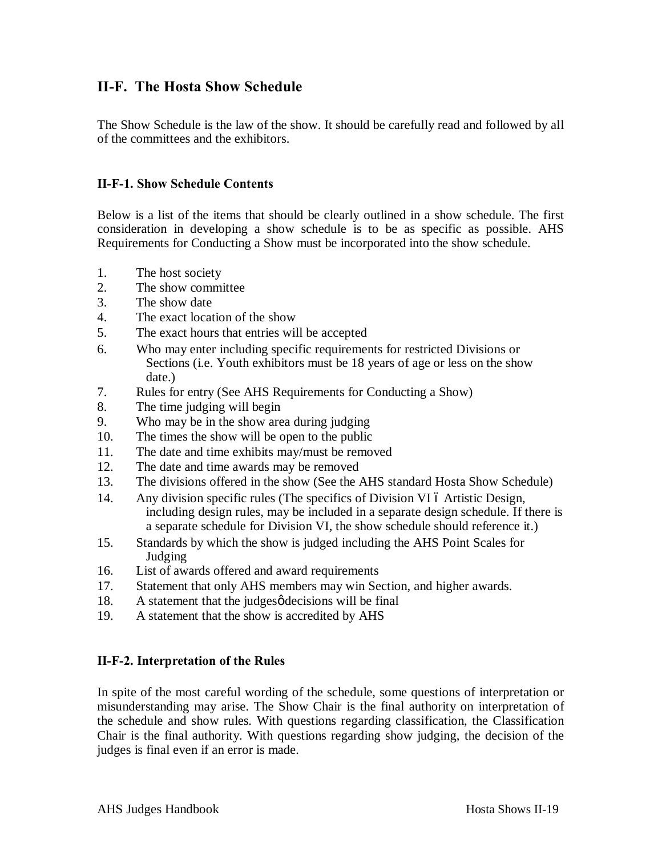### **II-F. The Hosta Show Schedule**

The Show Schedule is the law of the show. It should be carefully read and followed by all of the committees and the exhibitors.

### **II-F-1. Show Schedule Contents**

Below is a list of the items that should be clearly outlined in a show schedule. The first consideration in developing a show schedule is to be as specific as possible. AHS Requirements for Conducting a Show must be incorporated into the show schedule.

- 1. The host society
- 2. The show committee
- 3. The show date
- 4. The exact location of the show
- 5. The exact hours that entries will be accepted
- 6. Who may enter including specific requirements for restricted Divisions or Sections (i.e. Youth exhibitors must be 18 years of age or less on the show date.)
- 7. Rules for entry (See AHS Requirements for Conducting a Show)
- 8. The time judging will begin
- 9. Who may be in the show area during judging
- 10. The times the show will be open to the public
- 11. The date and time exhibits may/must be removed
- 12. The date and time awards may be removed
- 13. The divisions offered in the show (See the AHS standard Hosta Show Schedule)
- 14. Any division specific rules (The specifics of Division VI 6 Artistic Design, including design rules, may be included in a separate design schedule. If there is a separate schedule for Division VI, the show schedule should reference it.)
- 15. Standards by which the show is judged including the AHS Point Scales for Judging
- 16. List of awards offered and award requirements
- 17. Statement that only AHS members may win Section, and higher awards.
- 18. A statement that the judges $\phi$  decisions will be final
- 19. A statement that the show is accredited by AHS

### **II-F-2. Interpretation of the Rules**

In spite of the most careful wording of the schedule, some questions of interpretation or misunderstanding may arise. The Show Chair is the final authority on interpretation of the schedule and show rules. With questions regarding classification, the Classification Chair is the final authority. With questions regarding show judging, the decision of the judges is final even if an error is made.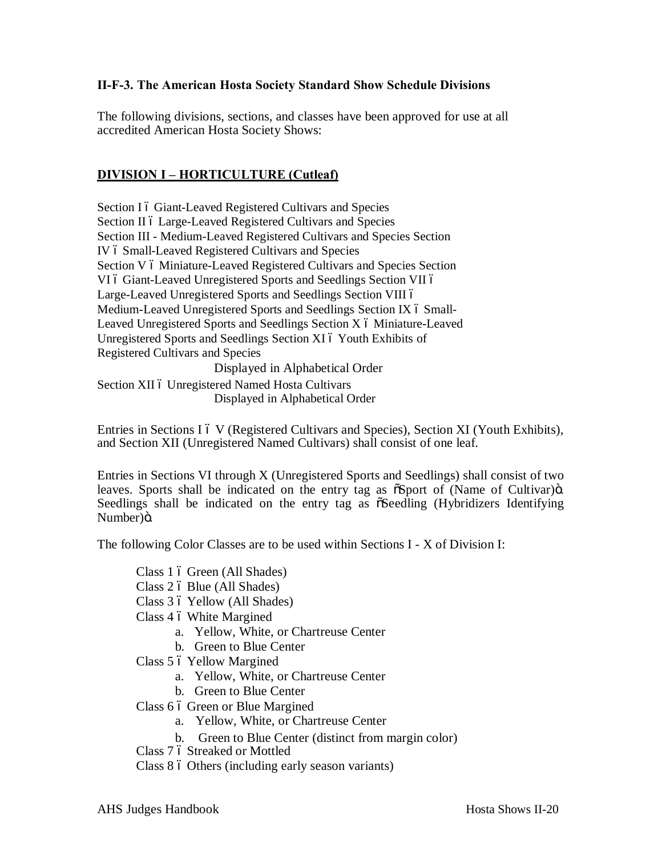### **II-F-3. The American Hosta Society Standard Show Schedule Divisions**

The following divisions, sections, and classes have been approved for use at all accredited American Hosta Society Shows:

### **DIVISION I – HORTICULTURE (Cutleaf)**

Section I 6 Giant-Leaved Registered Cultivars and Species Section II 6 Large-Leaved Registered Cultivars and Species Section III - Medium-Leaved Registered Cultivars and Species Section IV 6 Small-Leaved Registered Cultivars and Species Section V 6 Miniature-Leaved Registered Cultivars and Species Section VI ó Giant-Leaved Unregistered Sports and Seedlings Section VII ó Large-Leaved Unregistered Sports and Seedlings Section VIII ó Medium-Leaved Unregistered Sports and Seedlings Section IX 6 Small-Leaved Unregistered Sports and Seedlings Section X 6 Miniature-Leaved Unregistered Sports and Seedlings Section XI 6 Youth Exhibits of Registered Cultivars and Species Displayed in Alphabetical Order

Section XII ó Unregistered Named Hosta Cultivars Displayed in Alphabetical Order

Entries in Sections I 6 V (Registered Cultivars and Species), Section XI (Youth Exhibits), and Section XII (Unregistered Named Cultivars) shall consist of one leaf.

Entries in Sections VI through X (Unregistered Sports and Seedlings) shall consist of two leaves. Sports shall be indicated on the entry tag as  $\tilde{\alpha}$ Sport of (Name of Cultivar) $\ddot{\alpha}$ . Seedlings shall be indicated on the entry tag as  $\tilde{\alpha}$ Seedling (Hybridizers Identifying Number)ö.

The following Color Classes are to be used within Sections I - X of Division I:

Class 1 6 Green (All Shades) Class 2 ó Blue (All Shades) Class 3 ó Yellow (All Shades) Class 4 6 White Margined a. Yellow, White, or Chartreuse Center b. Green to Blue Center Class 5 6 Yellow Margined a. Yellow, White, or Chartreuse Center b. Green to Blue Center Class 6 ó Green or Blue Margined a. Yellow, White, or Chartreuse Center b. Green to Blue Center (distinct from margin color) Class 7 6 Streaked or Mottled

Class 8 6 Others (including early season variants)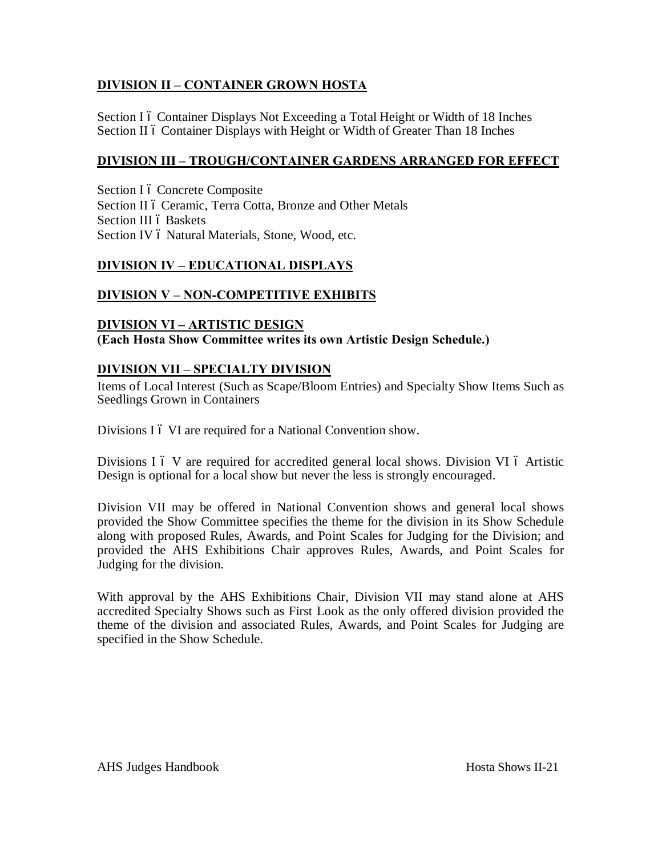### **DIVISION II – CONTAINER GROWN HOSTA**

Section I 6 Container Displays Not Exceeding a Total Height or Width of 18 Inches Section II 6 Container Displays with Height or Width of Greater Than 18 Inches

### **DIVISION III – TROUGH/CONTAINER GARDENS ARRANGED FOR EFFECT**

Section I ó Concrete Composite Section II ó Ceramic, Terra Cotta, Bronze and Other Metals Section III ó Baskets Section IV 6 Natural Materials, Stone, Wood, etc.

### **DIVISION IV – EDUCATIONAL DISPLAYS**

### **DIVISION V – NON-COMPETITIVE EXHIBITS**

### **DIVISION VI – ARTISTIC DESIGN**

**(Each Hosta Show Committee writes its own Artistic Design Schedule.)**

### **DIVISION VII – SPECIALTY DIVISION**

Items of Local Interest (Such as Scape/Bloom Entries) and Specialty Show Items Such as Seedlings Grown in Containers

Divisions I 6 VI are required for a National Convention show.

Divisions  $I \circ V$  are required for accredited general local shows. Division VI  $\circ$  Artistic Design is optional for a local show but never the less is strongly encouraged.

Division VII may be offered in National Convention shows and general local shows provided the Show Committee specifies the theme for the division in its Show Schedule along with proposed Rules, Awards, and Point Scales for Judging for the Division; and provided the AHS Exhibitions Chair approves Rules, Awards, and Point Scales for Judging for the division.

With approval by the AHS Exhibitions Chair, Division VII may stand alone at AHS accredited Specialty Shows such as First Look as the only offered division provided the theme of the division and associated Rules, Awards, and Point Scales for Judging are specified in the Show Schedule.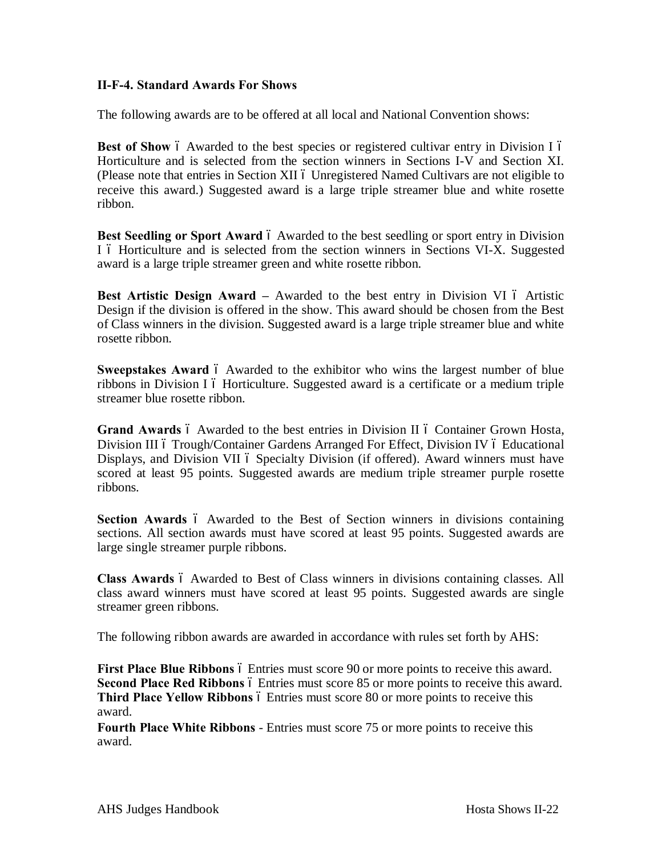### **II-F-4. Standard Awards For Shows**

The following awards are to be offered at all local and National Convention shows:

**Best of Show** 6 Awarded to the best species or registered cultivar entry in Division I 6 Horticulture and is selected from the section winners in Sections I-V and Section XI. (Please note that entries in Section XII 6 Unregistered Named Cultivars are not eligible to receive this award.) Suggested award is a large triple streamer blue and white rosette ribbon.

**Best Seedling or Sport Award** 6 Awarded to the best seedling or sport entry in Division I 6 Horticulture and is selected from the section winners in Sections VI-X. Suggested award is a large triple streamer green and white rosette ribbon.

**Best Artistic Design Award –** Awarded to the best entry in Division VI 6 Artistic Design if the division is offered in the show. This award should be chosen from the Best of Class winners in the division. Suggested award is a large triple streamer blue and white rosette ribbon.

**Sweepstakes Award** 6 Awarded to the exhibitor who wins the largest number of blue ribbons in Division I ó Horticulture. Suggested award is a certificate or a medium triple streamer blue rosette ribbon.

**Grand Awards** 6 Awarded to the best entries in Division II 6 Container Grown Hosta, Division III ó Trough/Container Gardens Arranged For Effect, Division IV ó Educational Displays, and Division VII 6 Specialty Division (if offered). Award winners must have scored at least 95 points. Suggested awards are medium triple streamer purple rosette ribbons.

**Section Awards** 6 Awarded to the Best of Section winners in divisions containing sections. All section awards must have scored at least 95 points. Suggested awards are large single streamer purple ribbons.

**Class Awards** 6 Awarded to Best of Class winners in divisions containing classes. All class award winners must have scored at least 95 points. Suggested awards are single streamer green ribbons.

The following ribbon awards are awarded in accordance with rules set forth by AHS:

**First Place Blue Ribbons**  $\acute{o}$  Entries must score 90 or more points to receive this award. **Second Place Red Ribbons**  $\acute{o}$  Entries must score 85 or more points to receive this award. **Third Place Yellow Ribbons**  $\acute{o}$  Entries must score 80 or more points to receive this award.

**Fourth Place White Ribbons** - Entries must score 75 or more points to receive this award.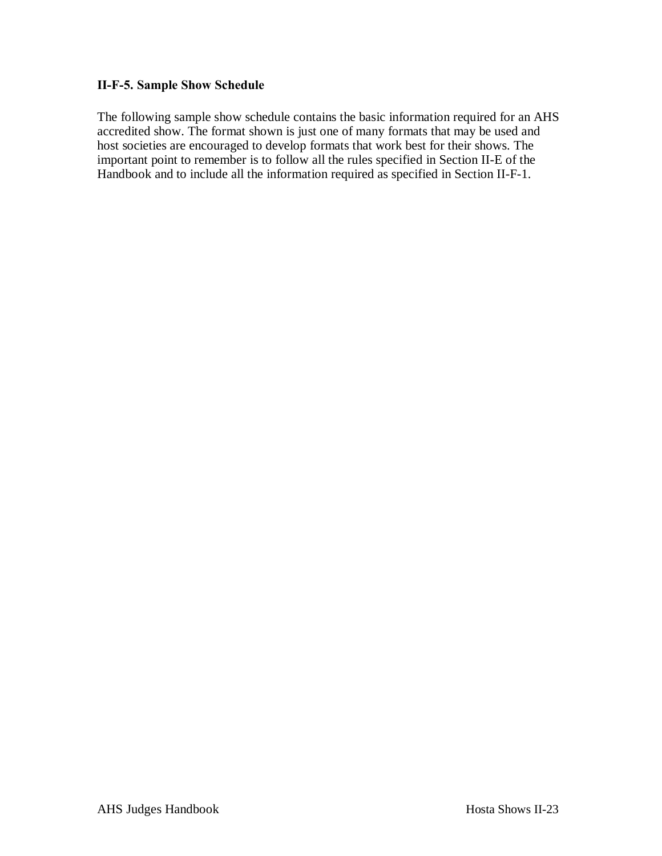### **II-F-5. Sample Show Schedule**

The following sample show schedule contains the basic information required for an AHS accredited show. The format shown is just one of many formats that may be used and host societies are encouraged to develop formats that work best for their shows. The important point to remember is to follow all the rules specified in Section II-E of the Handbook and to include all the information required as specified in Section II-F-1.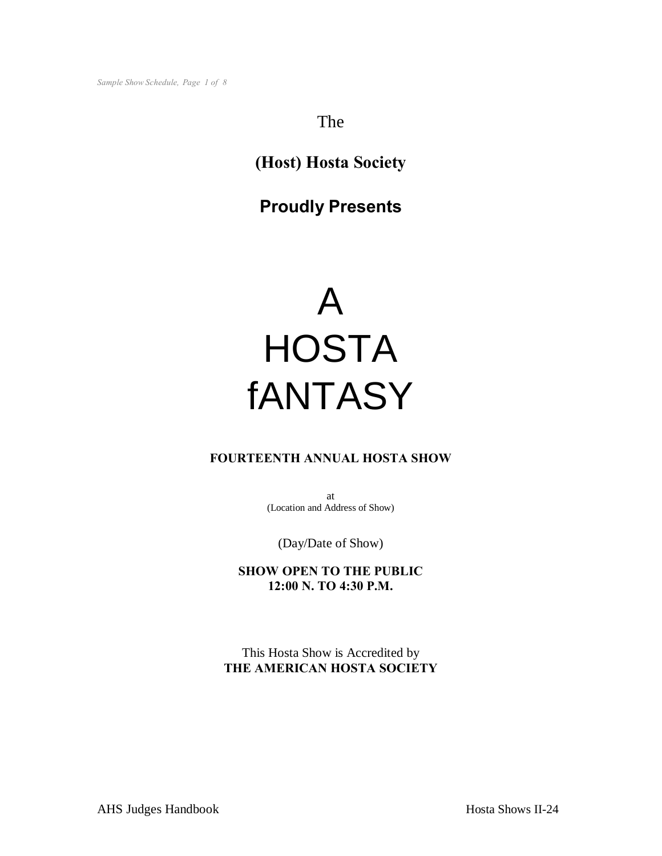### The

# **(Host) Hosta Society**

# **Proudly Presents**



### **FOURTEENTH ANNUAL HOSTA SHOW**

at (Location and Address of Show)

(Day/Date of Show)

**SHOW OPEN TO THE PUBLIC 12:00 N. TO 4:30 P.M.**

This Hosta Show is Accredited by **THE AMERICAN HOSTA SOCIETY**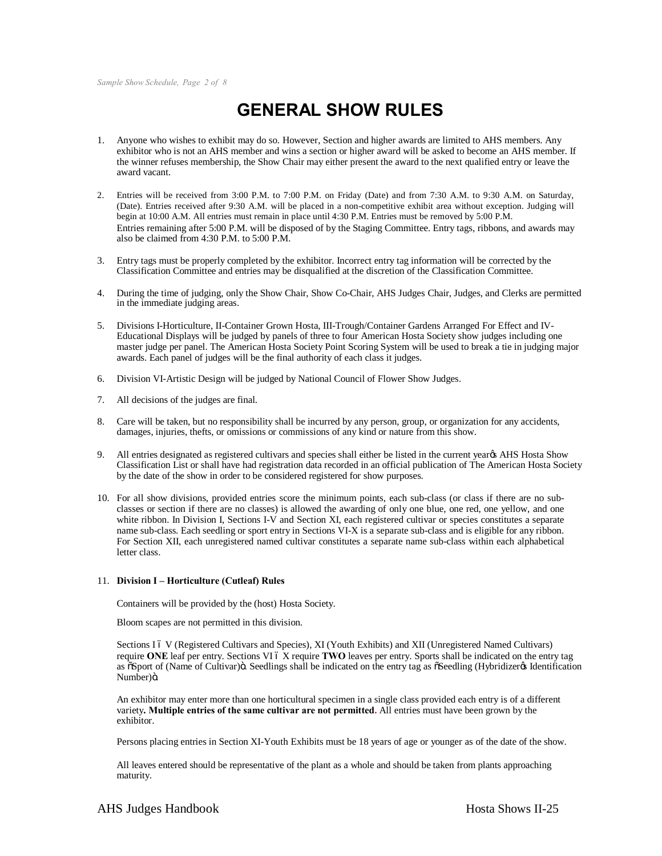*Sample Show Schedule, Page 2 of 8*

# **GENERAL SHOW RULES**

- 1. Anyone who wishes to exhibit may do so. However, Section and higher awards are limited to AHS members. Any exhibitor who is not an AHS member and wins a section or higher award will be asked to become an AHS member. If the winner refuses membership, the Show Chair may either present the award to the next qualified entry or leave the award vacant.
- 2. Entries will be received from 3:00 P.M. to 7:00 P.M. on Friday (Date) and from 7:30 A.M. to 9:30 A.M. on Saturday, (Date). Entries received after 9:30 A.M. will be placed in a non-competitive exhibit area without exception. Judging will begin at 10:00 A.M. All entries must remain in place until 4:30 P.M. Entries must be removed by 5:00 P.M. Entries remaining after 5:00 P.M. will be disposed of by the Staging Committee. Entry tags, ribbons, and awards may also be claimed from 4:30 P.M. to 5:00 P.M.
- 3. Entry tags must be properly completed by the exhibitor. Incorrect entry tag information will be corrected by the Classification Committee and entries may be disqualified at the discretion of the Classification Committee.
- 4. During the time of judging, only the Show Chair, Show Co-Chair, AHS Judges Chair, Judges, and Clerks are permitted in the immediate judging areas.
- 5. Divisions I-Horticulture, II-Container Grown Hosta, III-Trough/Container Gardens Arranged For Effect and IV-Educational Displays will be judged by panels of three to four American Hosta Society show judges including one master judge per panel. The American Hosta Society Point Scoring System will be used to break a tie in judging major awards. Each panel of judges will be the final authority of each class it judges.
- 6. Division VI-Artistic Design will be judged by National Council of Flower Show Judges.
- 7. All decisions of the judges are final.
- 8. Care will be taken, but no responsibility shall be incurred by any person, group, or organization for any accidents, damages, injuries, thefts, or omissions or commissions of any kind or nature from this show.
- 9. All entries designated as registered cultivars and species shall either be listed in the current yeargs AHS Hosta Show Classification List or shall have had registration data recorded in an official publication of The American Hosta Society by the date of the show in order to be considered registered for show purposes.
- 10. For all show divisions, provided entries score the minimum points, each sub-class (or class if there are no subclasses or section if there are no classes) is allowed the awarding of only one blue, one red, one yellow, and one white ribbon. In Division I, Sections I-V and Section XI, each registered cultivar or species constitutes a separate name sub-class. Each seedling or sport entry in Sections VI-X is a separate sub-class and is eligible for any ribbon. For Section XII, each unregistered named cultivar constitutes a separate name sub-class within each alphabetical letter class.

#### 11. **Division I – Horticulture (Cutleaf) Rules**

Containers will be provided by the (host) Hosta Society.

Bloom scapes are not permitted in this division.

Sections I 6 V (Registered Cultivars and Species), XI (Youth Exhibits) and XII (Unregistered Named Cultivars) require ONE leaf per entry. Sections VI 6 X require TWO leaves per entry. Sports shall be indicated on the entry tag as  $\delta$ Sport of (Name of Cultivar) $\delta$ . Seedlings shall be indicated on the entry tag as  $\delta$ Seedling (Hybridizer $\delta$  Identification Number)ö.

An exhibitor may enter more than one horticultural specimen in a single class provided each entry is of a different variety**. Multiple entries of the same cultivar are not permitted.** All entries must have been grown by the exhibitor.

Persons placing entries in Section XI-Youth Exhibits must be 18 years of age or younger as of the date of the show.

All leaves entered should be representative of the plant as a whole and should be taken from plants approaching maturity.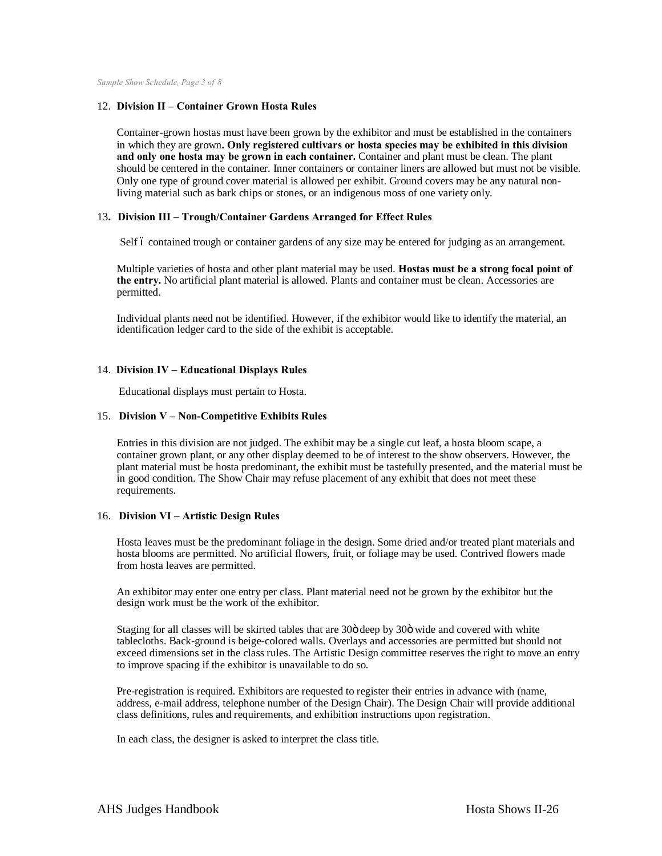*Sample Show Schedule, Page 3 of 8*

#### 12. **Division II – Container Grown Hosta Rules**

Container-grown hostas must have been grown by the exhibitor and must be established in the containers in which they are grown**. Only registered cultivars or hosta species may be exhibited in this division and only one hosta may be grown in each container.** Container and plant must be clean. The plant should be centered in the container. Inner containers or container liners are allowed but must not be visible. Only one type of ground cover material is allowed per exhibit. Ground covers may be any natural nonliving material such as bark chips or stones, or an indigenous moss of one variety only.

#### 13**. Division III – Trough/Container Gardens Arranged for Effect Rules**

Self 6 contained trough or container gardens of any size may be entered for judging as an arrangement.

Multiple varieties of hosta and other plant material may be used. **Hostas must be a strong focal point of the entry.** No artificial plant material is allowed. Plants and container must be clean. Accessories are permitted.

Individual plants need not be identified. However, if the exhibitor would like to identify the material, an identification ledger card to the side of the exhibit is acceptable.

#### 14. **Division IV – Educational Displays Rules**

Educational displays must pertain to Hosta.

#### 15. **Division V – Non-Competitive Exhibits Rules**

Entries in this division are not judged. The exhibit may be a single cut leaf, a hosta bloom scape, a container grown plant, or any other display deemed to be of interest to the show observers. However, the plant material must be hosta predominant, the exhibit must be tastefully presented, and the material must be in good condition. The Show Chair may refuse placement of any exhibit that does not meet these requirements.

#### 16. **Division VI – Artistic Design Rules**

Hosta leaves must be the predominant foliage in the design. Some dried and/or treated plant materials and hosta blooms are permitted. No artificial flowers, fruit, or foliage may be used. Contrived flowers made from hosta leaves are permitted.

An exhibitor may enter one entry per class. Plant material need not be grown by the exhibitor but the design work must be the work of the exhibitor.

Staging for all classes will be skirted tables that are 30ö deep by 30ö wide and covered with white tablecloths. Back-ground is beige-colored walls. Overlays and accessories are permitted but should not exceed dimensions set in the class rules. The Artistic Design committee reserves the right to move an entry to improve spacing if the exhibitor is unavailable to do so.

Pre-registration is required. Exhibitors are requested to register their entries in advance with (name, address, e-mail address, telephone number of the Design Chair). The Design Chair will provide additional class definitions, rules and requirements, and exhibition instructions upon registration.

In each class, the designer is asked to interpret the class title.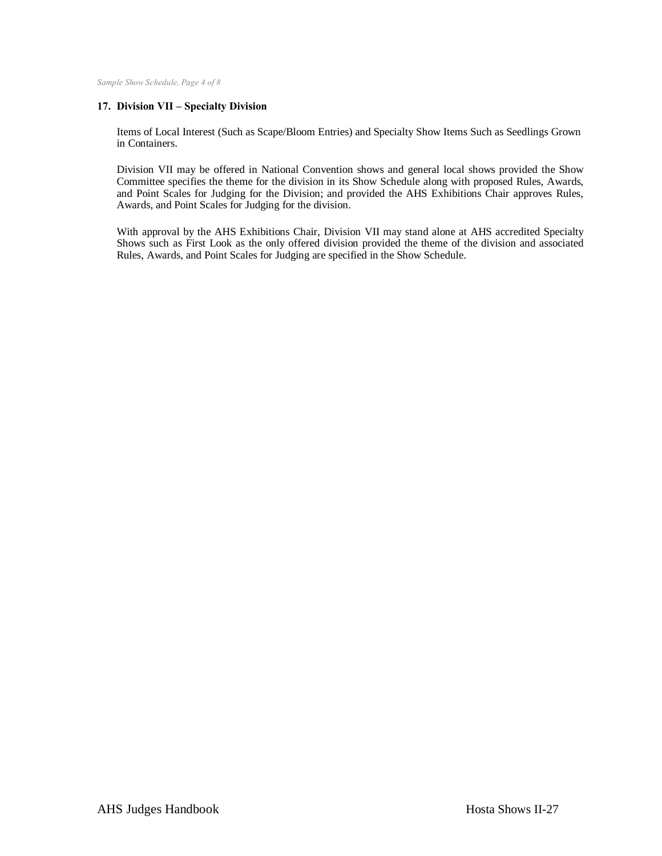*Sample Show Schedule, Page 4 of 8*

#### **17. Division VII – Specialty Division**

Items of Local Interest (Such as Scape/Bloom Entries) and Specialty Show Items Such as Seedlings Grown in Containers.

Division VII may be offered in National Convention shows and general local shows provided the Show Committee specifies the theme for the division in its Show Schedule along with proposed Rules, Awards, and Point Scales for Judging for the Division; and provided the AHS Exhibitions Chair approves Rules, Awards, and Point Scales for Judging for the division.

With approval by the AHS Exhibitions Chair, Division VII may stand alone at AHS accredited Specialty Shows such as First Look as the only offered division provided the theme of the division and associated Rules, Awards, and Point Scales for Judging are specified in the Show Schedule.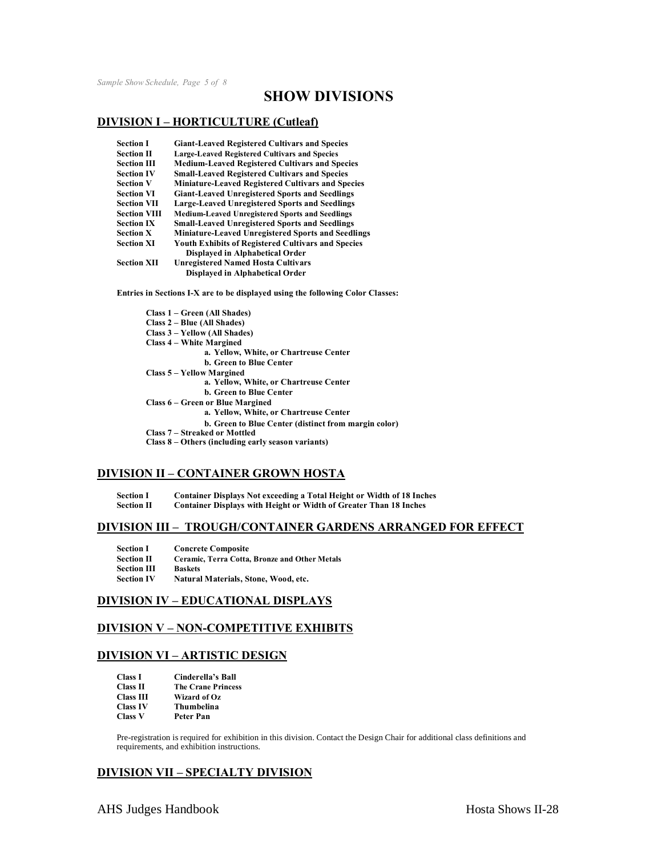*Sample Show Schedule, Page 5 of 8*

### **SHOW DIVISIONS**

#### **DIVISION I – HORTICULTURE (Cutleaf)**

| <b>Section I</b>    | <b>Giant-Leaved Registered Cultivars and Species</b>      |
|---------------------|-----------------------------------------------------------|
| <b>Section II</b>   | <b>Large-Leaved Registered Cultivars and Species</b>      |
| <b>Section III</b>  | <b>Medium-Leaved Registered Cultivars and Species</b>     |
| <b>Section IV</b>   | <b>Small-Leaved Registered Cultivars and Species</b>      |
| <b>Section V</b>    | <b>Miniature-Leaved Registered Cultivars and Species</b>  |
| <b>Section VI</b>   | <b>Giant-Leaved Unregistered Sports and Seedlings</b>     |
| <b>Section VII</b>  | <b>Large-Leaved Unregistered Sports and Seedlings</b>     |
| <b>Section VIII</b> | <b>Medium-Leaved Unregistered Sports and Seedlings</b>    |
| <b>Section IX</b>   | <b>Small-Leaved Unregistered Sports and Seedlings</b>     |
| <b>Section X</b>    | <b>Miniature-Leaved Unregistered Sports and Seedlings</b> |
| <b>Section XI</b>   | <b>Youth Exhibits of Registered Cultivars and Species</b> |
|                     | Displayed in Alphabetical Order                           |
| <b>Section XII</b>  | <b>Unregistered Named Hosta Cultivars</b>                 |
|                     | Displayed in Alphabetical Order                           |

**Entries in Sections I-X are to be displayed using the following Color Classes:**

#### **DIVISION II – CONTAINER GROWN HOSTA**

**Section I Container Displays Not exceeding a Total Height or Width of 18 Inches**

**Section II Container Displays with Height or Width of Greater Than 18 Inches**

#### **DIVISION III – TROUGH/CONTAINER GARDENS ARRANGED FOR EFFECT**

| <b>Section I</b>   | <b>Concrete Composite</b>                            |
|--------------------|------------------------------------------------------|
| <b>Section II</b>  | <b>Ceramic. Terra Cotta. Bronze and Other Metals</b> |
| <b>Section III</b> | <b>Baskets</b>                                       |
| <b>Section IV</b>  | Natural Materials, Stone, Wood, etc.                 |

### **DIVISION IV – EDUCATIONAL DISPLAYS**

#### **DIVISION V – NON-COMPETITIVE EXHIBITS**

#### **DIVISION VI – ARTISTIC DESIGN**

| <b>Class I</b>   | Cinderella's Ball         |
|------------------|---------------------------|
| <b>Class II</b>  | <b>The Crane Princess</b> |
| <b>Class III</b> | Wizard of Oz              |
| <b>Class IV</b>  | Thumbelina                |
| <b>Class V</b>   | Peter Pan                 |

Pre-registration is required for exhibition in this division. Contact the Design Chair for additional class definitions and requirements, and exhibition instructions.

### **DIVISION VII – SPECIALTY DIVISION**

AHS Judges Handbook Hosta Shows II-28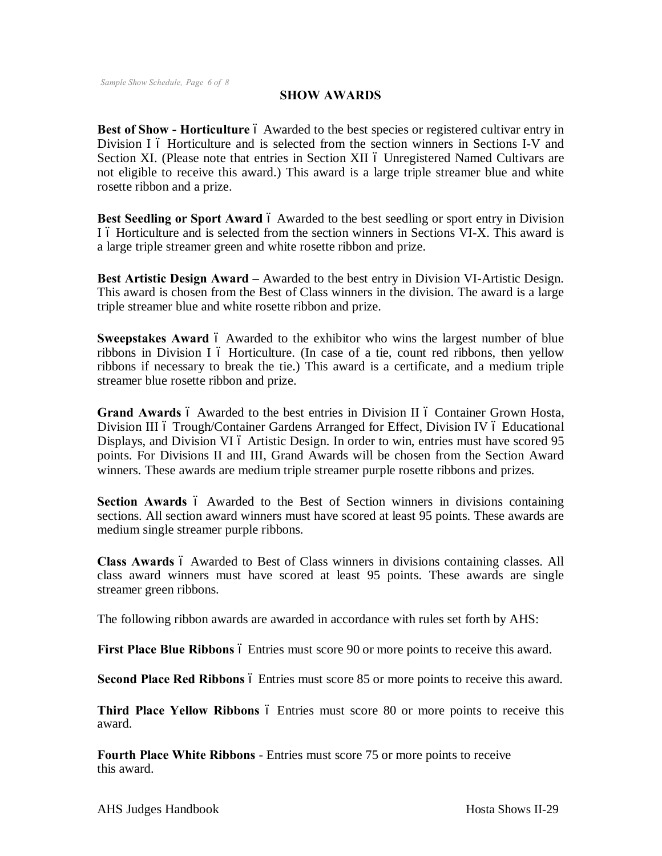### **SHOW AWARDS**

**Best of Show - Horticulture**  $\acute{o}$  Awarded to the best species or registered cultivar entry in Division I 6 Horticulture and is selected from the section winners in Sections I-V and Section XI. (Please note that entries in Section XII 6 Unregistered Named Cultivars are not eligible to receive this award.) This award is a large triple streamer blue and white rosette ribbon and a prize.

**Best Seedling or Sport Award** 6 Awarded to the best seedling or sport entry in Division I 6 Horticulture and is selected from the section winners in Sections VI-X. This award is a large triple streamer green and white rosette ribbon and prize.

**Best Artistic Design Award –** Awarded to the best entry in Division VI-Artistic Design. This award is chosen from the Best of Class winners in the division. The award is a large triple streamer blue and white rosette ribbon and prize.

**Sweepstakes Award** 6 Awarded to the exhibitor who wins the largest number of blue ribbons in Division I ó Horticulture. (In case of a tie, count red ribbons, then yellow ribbons if necessary to break the tie.) This award is a certificate, and a medium triple streamer blue rosette ribbon and prize.

**Grand Awards** 6 Awarded to the best entries in Division II 6 Container Grown Hosta, Division III 6 Trough/Container Gardens Arranged for Effect, Division IV 6 Educational Displays, and Division VI 6 Artistic Design. In order to win, entries must have scored 95 points. For Divisions II and III, Grand Awards will be chosen from the Section Award winners. These awards are medium triple streamer purple rosette ribbons and prizes.

**Section Awards** 6 Awarded to the Best of Section winners in divisions containing sections. All section award winners must have scored at least 95 points. These awards are medium single streamer purple ribbons.

**Class Awards**  $\acute{o}$  Awarded to Best of Class winners in divisions containing classes. All class award winners must have scored at least 95 points. These awards are single streamer green ribbons.

The following ribbon awards are awarded in accordance with rules set forth by AHS:

**First Place Blue Ribbons**  $\acute{o}$  Entries must score 90 or more points to receive this award.

**Second Place Red Ribbons**  $\acute{o}$  Entries must score 85 or more points to receive this award.

Third Place Yellow Ribbons  $6$  Entries must score 80 or more points to receive this award.

**Fourth Place White Ribbons** - Entries must score 75 or more points to receive this award.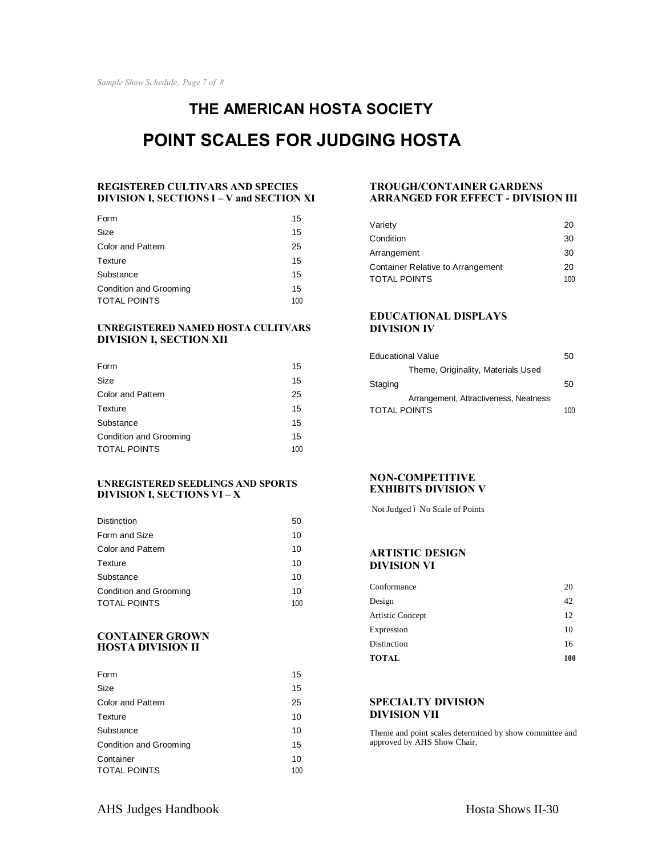# **THE AMERICAN HOSTA SOCIETY POINT SCALES FOR JUDGING HOSTA**

#### **REGISTERED CULTIVARS AND SPECIES DIVISION I, SECTIONS I – V and SECTION XI**

| Form                                   | 15        |
|----------------------------------------|-----------|
| Size                                   | 15        |
| Color and Pattern                      | 25        |
| Texture                                | 15        |
| Substance                              | 15        |
| Condition and Grooming<br>TOTAL POINTS | 15<br>100 |
|                                        |           |

#### **UNREGISTERED NAMED HOSTA CULITVARS DIVISION I, SECTION XII**

| Form                     | 15  |
|--------------------------|-----|
| Size                     | 15  |
| <b>Color and Pattern</b> | 25  |
| Texture                  | 15  |
| Substance                | 15  |
| Condition and Grooming   | 15  |
| TOTAL POINTS             | 100 |

#### **UNREGISTERED SEEDLINGS AND SPORTS DIVISION I, SECTIONS VI – X**

| <b>Distinction</b>       | 50  |
|--------------------------|-----|
| Form and Size            | 10  |
| <b>Color and Pattern</b> | 10  |
| Texture                  | 10  |
| Substance                | 10  |
| Condition and Grooming   | 10  |
| <b>TOTAL POINTS</b>      | 100 |

#### **CONTAINER GROWN HOSTA DIVISION II**

| Form                          | 15  |
|-------------------------------|-----|
| Size                          | 15  |
| <b>Color and Pattern</b>      | 25  |
| Texture                       | 10  |
| Substance                     | 10  |
| <b>Condition and Grooming</b> | 15  |
| Container                     | 10  |
| <b>TOTAL POINTS</b>           | 100 |

#### **TROUGH/CONTAINER GARDENS ARRANGED FOR EFFECT - DIVISION III**

| Variety                           | 20  |
|-----------------------------------|-----|
| Condition                         | 30  |
| Arrangement                       | 30  |
| Container Relative to Arrangement | 20  |
| TOTAL POINTS                      | 100 |
|                                   |     |

#### **EDUCATIONAL DISPLAYS DIVISION IV**

| <b>Educational Value</b>              |     |
|---------------------------------------|-----|
| Theme, Originality, Materials Used    |     |
| Staging                               | 50  |
| Arrangement, Attractiveness, Neatness |     |
| <b>TOTAL POINTS</b>                   | 100 |

#### **NON-COMPETITIVE EXHIBITS DIVISION V**

Not Judged 6 No Scale of Points

#### **ARTISTIC DESIGN DIVISION VI**

| Distinction                    | 16       |
|--------------------------------|----------|
| Artistic Concept<br>Expression | 12<br>10 |
| Design                         | 42       |
| Conformance                    | 20       |

#### **SPECIALTY DIVISION DIVISION VII**

Theme and point scales determined by show committee and approved by AHS Show Chair.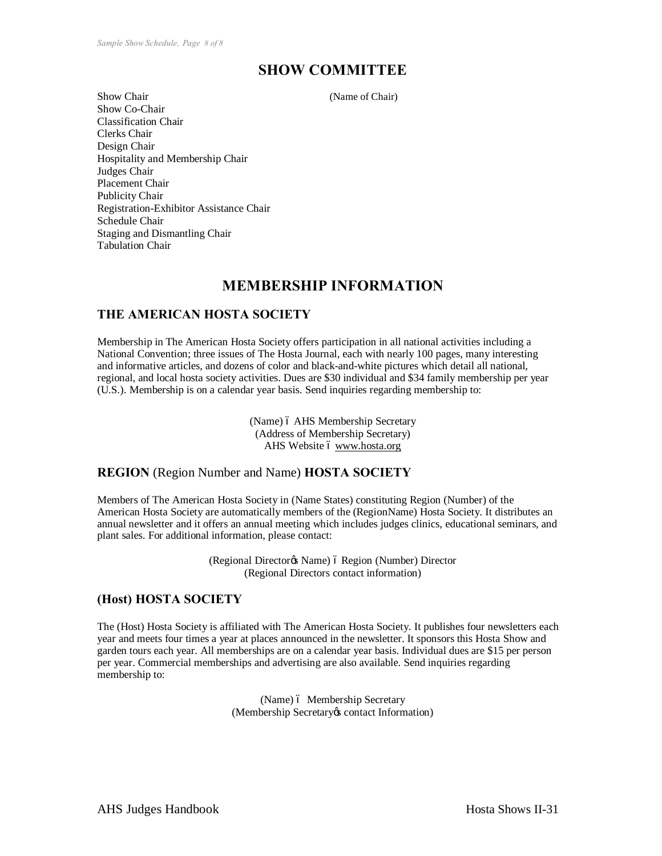### **SHOW COMMITTEE**

Show Chair (Name of Chair) Show Co-Chair Classification Chair Clerks Chair Design Chair Hospitality and Membership Chair Judges Chair Placement Chair Publicity Chair Registration-Exhibitor Assistance Chair Schedule Chair Staging and Dismantling Chair Tabulation Chair

### **MEMBERSHIP INFORMATION**

### **THE AMERICAN HOSTA SOCIETY**

Membership in The American Hosta Society offers participation in all national activities including a National Convention; three issues of The Hosta Journal, each with nearly 100 pages, many interesting and informative articles, and dozens of color and black-and-white pictures which detail all national, regional, and local hosta society activities. Dues are \$30 individual and \$34 family membership per year (U.S.). Membership is on a calendar year basis. Send inquiries regarding membership to:

> (Name) ó AHS Membership Secretary (Address of Membership Secretary) AHS Website 6 www.hosta.org

### **REGION** (Region Number and Name) **HOSTA SOCIETY**

Members of The American Hosta Society in (Name States) constituting Region (Number) of the American Hosta Society are automatically members of the (RegionName) Hosta Society. It distributes an annual newsletter and it offers an annual meeting which includes judges clinics, educational seminars, and plant sales. For additional information, please contact:

> (Regional Director $\alpha$  Name) ó Region (Number) Director (Regional Directors contact information)

### **(Host) HOSTA SOCIETY**

The (Host) Hosta Society is affiliated with The American Hosta Society. It publishes four newsletters each year and meets four times a year at places announced in the newsletter. It sponsors this Hosta Show and garden tours each year. All memberships are on a calendar year basis. Individual dues are \$15 per person per year. Commercial memberships and advertising are also available. Send inquiries regarding membership to:

> (Name) ó Membership Secretary (Membership Secretary & contact Information)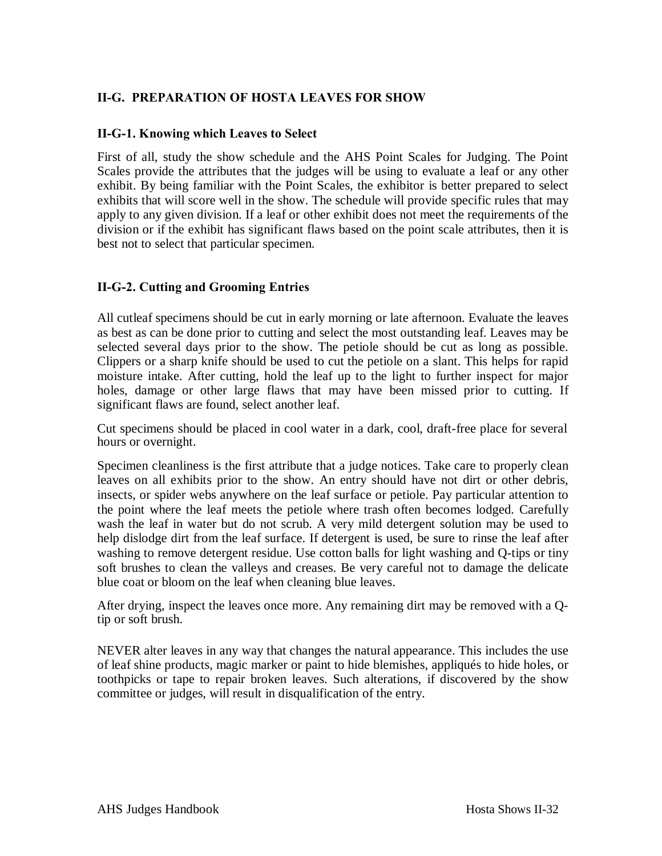### **II-G. PREPARATION OF HOSTA LEAVES FOR SHOW**

### **II-G-1. Knowing which Leaves to Select**

First of all, study the show schedule and the AHS Point Scales for Judging. The Point Scales provide the attributes that the judges will be using to evaluate a leaf or any other exhibit. By being familiar with the Point Scales, the exhibitor is better prepared to select exhibits that will score well in the show. The schedule will provide specific rules that may apply to any given division. If a leaf or other exhibit does not meet the requirements of the division or if the exhibit has significant flaws based on the point scale attributes, then it is best not to select that particular specimen.

### **II-G-2. Cutting and Grooming Entries**

All cutleaf specimens should be cut in early morning or late afternoon. Evaluate the leaves as best as can be done prior to cutting and select the most outstanding leaf. Leaves may be selected several days prior to the show. The petiole should be cut as long as possible. Clippers or a sharp knife should be used to cut the petiole on a slant. This helps for rapid moisture intake. After cutting, hold the leaf up to the light to further inspect for major holes, damage or other large flaws that may have been missed prior to cutting. If significant flaws are found, select another leaf.

Cut specimens should be placed in cool water in a dark, cool, draft-free place for several hours or overnight.

Specimen cleanliness is the first attribute that a judge notices. Take care to properly clean leaves on all exhibits prior to the show. An entry should have not dirt or other debris, insects, or spider webs anywhere on the leaf surface or petiole. Pay particular attention to the point where the leaf meets the petiole where trash often becomes lodged. Carefully wash the leaf in water but do not scrub. A very mild detergent solution may be used to help dislodge dirt from the leaf surface. If detergent is used, be sure to rinse the leaf after washing to remove detergent residue. Use cotton balls for light washing and Q-tips or tiny soft brushes to clean the valleys and creases. Be very careful not to damage the delicate blue coat or bloom on the leaf when cleaning blue leaves.

After drying, inspect the leaves once more. Any remaining dirt may be removed with a Qtip or soft brush.

NEVER alter leaves in any way that changes the natural appearance. This includes the use of leaf shine products, magic marker or paint to hide blemishes, appliqués to hide holes, or toothpicks or tape to repair broken leaves. Such alterations, if discovered by the show committee or judges, will result in disqualification of the entry.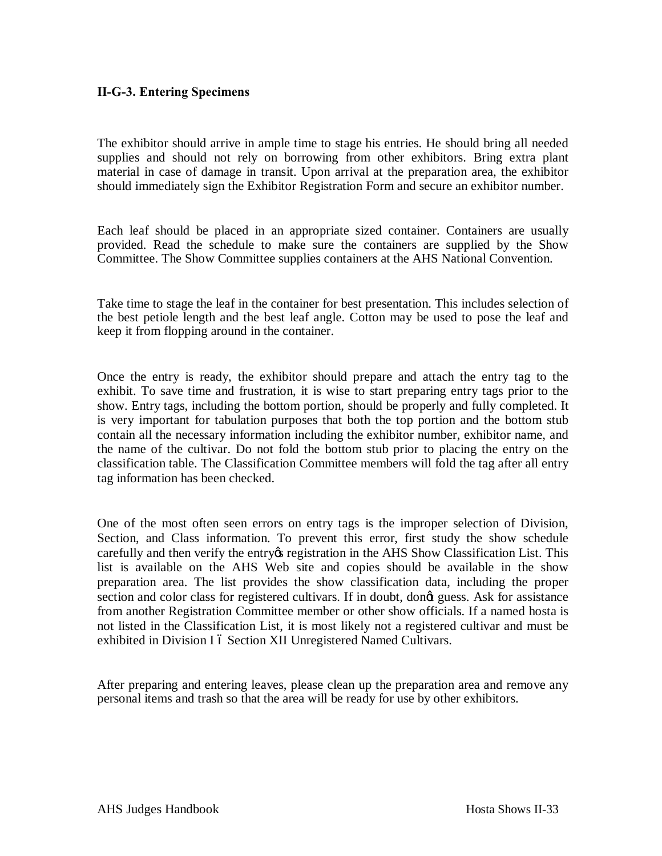### **II-G-3. Entering Specimens**

The exhibitor should arrive in ample time to stage his entries. He should bring all needed supplies and should not rely on borrowing from other exhibitors. Bring extra plant material in case of damage in transit. Upon arrival at the preparation area, the exhibitor should immediately sign the Exhibitor Registration Form and secure an exhibitor number.

Each leaf should be placed in an appropriate sized container. Containers are usually provided. Read the schedule to make sure the containers are supplied by the Show Committee. The Show Committee supplies containers at the AHS National Convention.

Take time to stage the leaf in the container for best presentation. This includes selection of the best petiole length and the best leaf angle. Cotton may be used to pose the leaf and keep it from flopping around in the container.

Once the entry is ready, the exhibitor should prepare and attach the entry tag to the exhibit. To save time and frustration, it is wise to start preparing entry tags prior to the show. Entry tags, including the bottom portion, should be properly and fully completed. It is very important for tabulation purposes that both the top portion and the bottom stub contain all the necessary information including the exhibitor number, exhibitor name, and the name of the cultivar. Do not fold the bottom stub prior to placing the entry on the classification table. The Classification Committee members will fold the tag after all entry tag information has been checked.

One of the most often seen errors on entry tags is the improper selection of Division, Section, and Class information. To prevent this error, first study the show schedule carefully and then verify the entry the registration in the AHS Show Classification List. This list is available on the AHS Web site and copies should be available in the show preparation area. The list provides the show classification data, including the proper section and color class for registered cultivars. If in doubt, dong guess. Ask for assistance from another Registration Committee member or other show officials. If a named hosta is not listed in the Classification List, it is most likely not a registered cultivar and must be exhibited in Division I 6 Section XII Unregistered Named Cultivars.

After preparing and entering leaves, please clean up the preparation area and remove any personal items and trash so that the area will be ready for use by other exhibitors.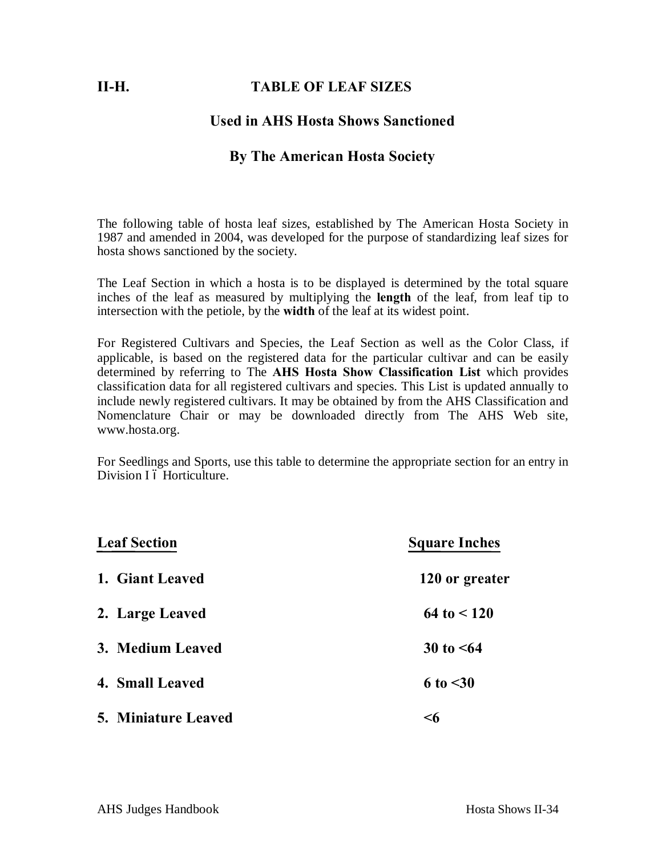### **II-H. TABLE OF LEAF SIZES**

### **Used in AHS Hosta Shows Sanctioned**

### **By The American Hosta Society**

The following table of hosta leaf sizes, established by The American Hosta Society in 1987 and amended in 2004, was developed for the purpose of standardizing leaf sizes for hosta shows sanctioned by the society.

The Leaf Section in which a hosta is to be displayed is determined by the total square inches of the leaf as measured by multiplying the **length** of the leaf, from leaf tip to intersection with the petiole, by the **width** of the leaf at its widest point.

For Registered Cultivars and Species, the Leaf Section as well as the Color Class, if applicable, is based on the registered data for the particular cultivar and can be easily determined by referring to The **AHS Hosta Show Classification List** which provides classification data for all registered cultivars and species. This List is updated annually to include newly registered cultivars. It may be obtained by from the AHS Classification and Nomenclature Chair or may be downloaded directly from The AHS Web site, www.hosta.org.

For Seedlings and Sports, use this table to determine the appropriate section for an entry in Division I ó Horticulture.

| <b>Leaf Section</b> | <b>Square Inches</b> |
|---------------------|----------------------|
| 1. Giant Leaved     | 120 or greater       |
| 2. Large Leaved     | $64 \text{ to } 120$ |
| 3. Medium Leaved    | 30 to $\leq 64$      |
| 4. Small Leaved     | 6 to $<$ 30          |
| 5. Miniature Leaved | <6                   |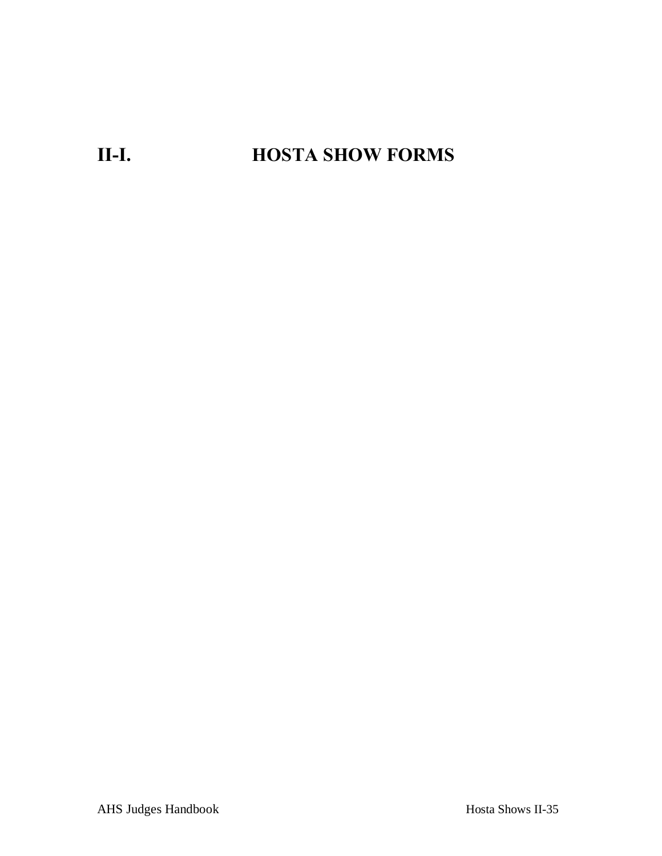# **II-I. HOSTA SHOW FORMS**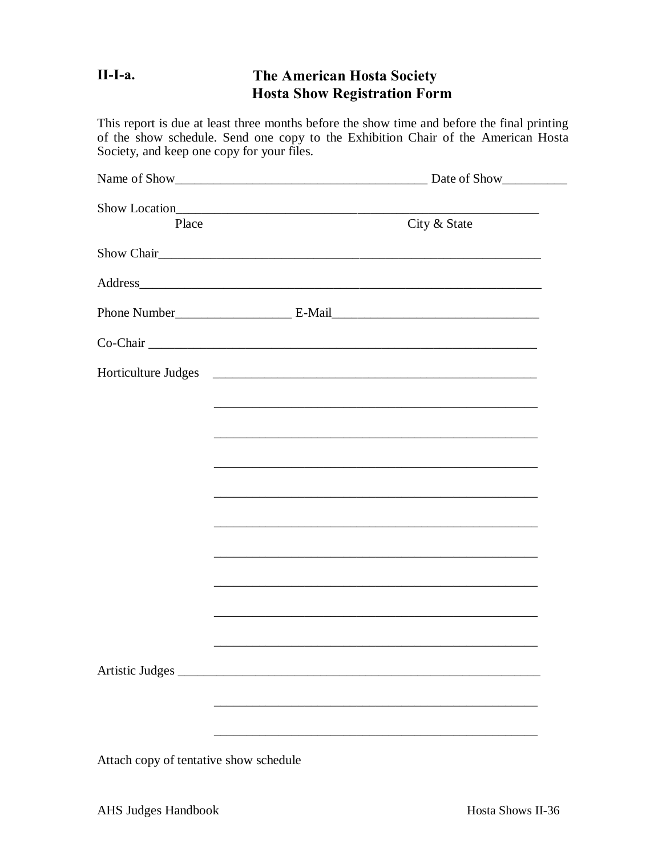#### $II-I-a.$ The American Hosta Society **Hosta Show Registration Form**

This report is due at least three months before the show time and before the final printing of the show schedule. Send one copy to the Exhibition Chair of the American Hosta Society, and keep one copy for your files.

| Show Location<br>Place                 | City & State                                                                                                          |  |
|----------------------------------------|-----------------------------------------------------------------------------------------------------------------------|--|
|                                        |                                                                                                                       |  |
|                                        | Address                                                                                                               |  |
|                                        |                                                                                                                       |  |
|                                        |                                                                                                                       |  |
| Horticulture Judges                    |                                                                                                                       |  |
|                                        | <u> 1989 - Johann John Stone, markin sanadi amerikan bahasa dalam kemasana dalam kemasana dalam kemasana dalam k</u>  |  |
|                                        |                                                                                                                       |  |
|                                        |                                                                                                                       |  |
|                                        |                                                                                                                       |  |
|                                        |                                                                                                                       |  |
|                                        |                                                                                                                       |  |
|                                        | <u> 1989 - Johann Harry Harry Harry Harry Harry Harry Harry Harry Harry Harry Harry Harry Harry Harry Harry Harry</u> |  |
|                                        |                                                                                                                       |  |
|                                        |                                                                                                                       |  |
|                                        |                                                                                                                       |  |
|                                        |                                                                                                                       |  |
|                                        |                                                                                                                       |  |
| Attach copy of tentative show schedule |                                                                                                                       |  |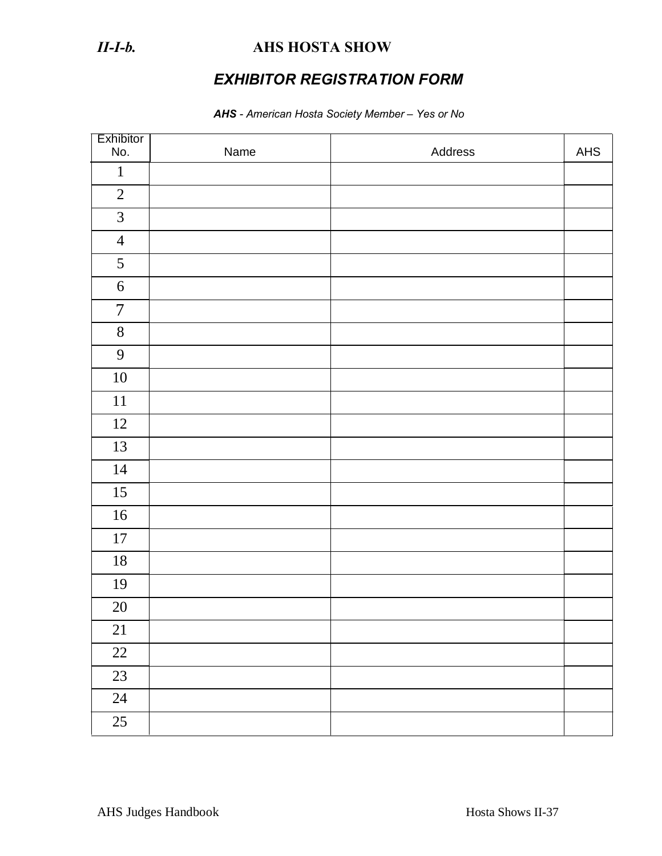### *II-I-b.* **AHS HOSTA SHOW**

## *EXHIBITOR REGISTRATION FORM*

### *AHS - American Hosta Society Member – Yes or No*

| Exhibitor<br>No. | Name | Address | ${\sf AHS}$ |
|------------------|------|---------|-------------|
| $\mathbf{1}$     |      |         |             |
| $\overline{2}$   |      |         |             |
| $\mathfrak{Z}$   |      |         |             |
| $\overline{4}$   |      |         |             |
| 5                |      |         |             |
| $\sqrt{6}$       |      |         |             |
| $\overline{7}$   |      |         |             |
| $8\,$            |      |         |             |
| 9                |      |         |             |
| $10\,$           |      |         |             |
| $11\,$           |      |         |             |
| 12               |      |         |             |
| 13               |      |         |             |
| 14               |      |         |             |
| 15               |      |         |             |
| $16\,$           |      |         |             |
| $17\,$           |      |         |             |
| 18               |      |         |             |
| 19               |      |         |             |
| $20\,$           |      |         |             |
| 21               |      |         |             |
| $22\,$           |      |         |             |
| 23               |      |         |             |
| $24\,$           |      |         |             |
| 25               |      |         |             |

AHS Judges Handbook Hosta Shows II-37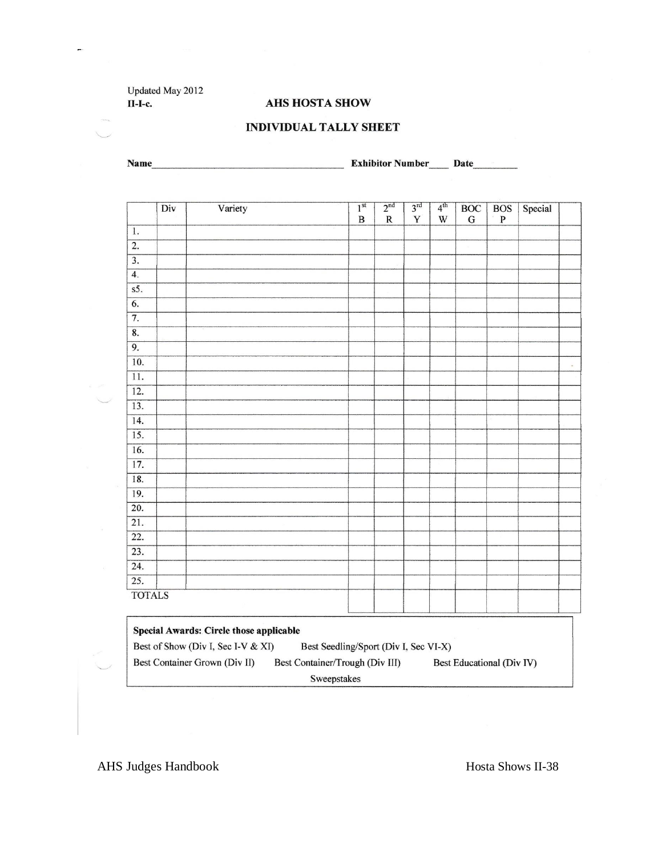Updated May 2012 **II-I-c.** 

**AHS HOSTA SHOW** 

### **INDIVIDUAL TALLY SHEET**

Name **Mame**Mame
Channe
Mame
Channe
Mame
Channe
Channe
Mame
Channe
Channe
Channe
Channe
Channe
Channe
Channe
Channe
Channe
Channe
Channe
Channe
Channe
Channe
Channe
Channe
Channe
Channe
Channe
Channe
Channe
Channe
Channe
C

|                           | Div | Variety | 1 <sup>st</sup><br>$\, {\bf B}$ | 2 <sup>nd</sup><br>${\bf R}$ | 3 <sup>rd</sup><br>Y | 4 <sup>th</sup><br>$\mathbf W$ | BOC<br>${\bf G}$ | <b>BOS</b><br>$\, {\bf P}$ | Special |          |
|---------------------------|-----|---------|---------------------------------|------------------------------|----------------------|--------------------------------|------------------|----------------------------|---------|----------|
| $\overline{1}$ .          |     |         |                                 |                              |                      |                                |                  |                            |         |          |
| $\overline{2}$ .          |     |         |                                 |                              |                      |                                |                  |                            |         |          |
| $\overline{3}$ .          |     |         |                                 |                              |                      |                                |                  |                            |         |          |
| $\overline{4}$ .          |     |         |                                 |                              |                      |                                |                  |                            |         |          |
| s5.                       |     |         |                                 |                              |                      |                                |                  |                            |         |          |
| $\overline{6}$ .          |     |         |                                 |                              |                      |                                |                  |                            |         |          |
| $\overline{7}$ .          |     |         |                                 |                              |                      |                                |                  |                            |         |          |
| $\overline{\mathbf{8}}$ . |     |         |                                 |                              |                      |                                |                  |                            |         |          |
| $\overline{9}$ .          |     |         |                                 |                              |                      |                                |                  |                            |         |          |
| 10.                       |     |         |                                 |                              |                      |                                |                  |                            |         | $\kappa$ |
| $\overline{11}$ .         |     |         |                                 |                              |                      |                                |                  |                            |         |          |
| $\overline{12}$ .         |     |         |                                 |                              |                      |                                |                  |                            |         |          |
| $\overline{13}$ .         |     |         |                                 |                              |                      |                                |                  |                            |         |          |
| $\overline{14}$ .         |     |         |                                 |                              |                      |                                |                  |                            |         |          |
| $\overline{15}$ .         |     |         |                                 |                              |                      |                                |                  |                            |         |          |
| $\overline{16}$ .         |     |         |                                 |                              |                      |                                |                  |                            |         |          |
| $\overline{17}$ .         |     |         |                                 |                              |                      |                                |                  |                            |         |          |
| $\overline{18}$ .         |     |         |                                 |                              |                      |                                |                  |                            |         |          |
| $\overline{19}$ .         |     |         |                                 |                              |                      |                                |                  |                            |         |          |
| $\overline{20}$ .         |     |         |                                 |                              |                      |                                |                  |                            |         |          |
| $\overline{21}$ .         |     |         |                                 |                              |                      |                                |                  |                            |         |          |
| $\overline{22}$ .         |     |         |                                 |                              |                      |                                |                  |                            |         |          |
| 23.                       |     |         |                                 |                              |                      |                                |                  |                            |         |          |
| $\overline{24}$ .         |     |         |                                 |                              |                      |                                |                  |                            |         |          |
| $\overline{25}$ .         |     |         |                                 |                              |                      |                                |                  |                            |         |          |
| <b>TOTALS</b>             |     |         |                                 |                              |                      |                                |                  |                            |         |          |

| Special Awards: Circle those applicable |                                       |                           |  |  |  |  |
|-----------------------------------------|---------------------------------------|---------------------------|--|--|--|--|
| Best of Show (Div I, Sec I-V & XI)      | Best Seedling/Sport (Div I, Sec VI-X) |                           |  |  |  |  |
| Best Container Grown (Div II)           | Best Container/Trough (Div III)       | Best Educational (Div IV) |  |  |  |  |
| Sweepstakes                             |                                       |                           |  |  |  |  |

AHS Judges Handbook Hosta Shows II-38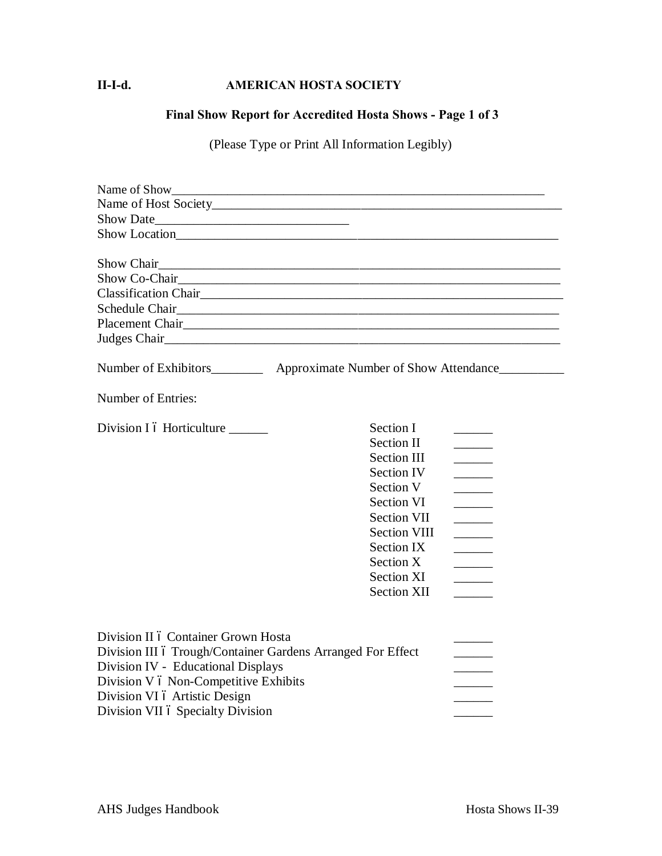### **II-I-d. AMERICAN HOSTA SOCIETY**

### **Final Show Report for Accredited Hosta Shows - Page 1 of 3**

(Please Type or Print All Information Legibly)

| Name of Show                                                                                                                                                                                                                                            |                                                                                                                                                                                                                                |                                                                                                                                                                                                                                                                                                                                                                                                                                                                                                                                                                                                                                             |
|---------------------------------------------------------------------------------------------------------------------------------------------------------------------------------------------------------------------------------------------------------|--------------------------------------------------------------------------------------------------------------------------------------------------------------------------------------------------------------------------------|---------------------------------------------------------------------------------------------------------------------------------------------------------------------------------------------------------------------------------------------------------------------------------------------------------------------------------------------------------------------------------------------------------------------------------------------------------------------------------------------------------------------------------------------------------------------------------------------------------------------------------------------|
|                                                                                                                                                                                                                                                         |                                                                                                                                                                                                                                |                                                                                                                                                                                                                                                                                                                                                                                                                                                                                                                                                                                                                                             |
|                                                                                                                                                                                                                                                         |                                                                                                                                                                                                                                |                                                                                                                                                                                                                                                                                                                                                                                                                                                                                                                                                                                                                                             |
|                                                                                                                                                                                                                                                         |                                                                                                                                                                                                                                |                                                                                                                                                                                                                                                                                                                                                                                                                                                                                                                                                                                                                                             |
|                                                                                                                                                                                                                                                         |                                                                                                                                                                                                                                |                                                                                                                                                                                                                                                                                                                                                                                                                                                                                                                                                                                                                                             |
| Show Chair                                                                                                                                                                                                                                              |                                                                                                                                                                                                                                |                                                                                                                                                                                                                                                                                                                                                                                                                                                                                                                                                                                                                                             |
| Show Co-Chair<br><u>Show Co-Chair</u>                                                                                                                                                                                                                   |                                                                                                                                                                                                                                |                                                                                                                                                                                                                                                                                                                                                                                                                                                                                                                                                                                                                                             |
|                                                                                                                                                                                                                                                         |                                                                                                                                                                                                                                |                                                                                                                                                                                                                                                                                                                                                                                                                                                                                                                                                                                                                                             |
|                                                                                                                                                                                                                                                         |                                                                                                                                                                                                                                |                                                                                                                                                                                                                                                                                                                                                                                                                                                                                                                                                                                                                                             |
| Placement Chair                                                                                                                                                                                                                                         |                                                                                                                                                                                                                                |                                                                                                                                                                                                                                                                                                                                                                                                                                                                                                                                                                                                                                             |
|                                                                                                                                                                                                                                                         |                                                                                                                                                                                                                                |                                                                                                                                                                                                                                                                                                                                                                                                                                                                                                                                                                                                                                             |
| Number of Exhibitors_____________ Approximate Number of Show Attendance__________                                                                                                                                                                       |                                                                                                                                                                                                                                |                                                                                                                                                                                                                                                                                                                                                                                                                                                                                                                                                                                                                                             |
| Number of Entries:                                                                                                                                                                                                                                      |                                                                                                                                                                                                                                |                                                                                                                                                                                                                                                                                                                                                                                                                                                                                                                                                                                                                                             |
| Division I ó Horticulture                                                                                                                                                                                                                               | Section I<br><b>Section II</b><br><b>Section III</b><br>Section IV<br>Section V<br><b>Section VI</b><br><b>Section VII</b><br><b>Section VIII</b><br><b>Section IX</b><br>Section X<br><b>Section XI</b><br><b>Section XII</b> | $\overline{\phantom{a}}$<br>$\overline{\phantom{a}}$<br>$\overline{\phantom{a}}$<br>$\overline{\phantom{a}}$<br>$\overline{\phantom{a}}$<br>$\overline{\phantom{a}}$<br>$\overline{\phantom{a}}$<br>$\label{eq:2} \begin{split} \frac{1}{\sqrt{2}}\left(\frac{1}{\sqrt{2}}\right)^{2} &\frac{1}{\sqrt{2}}\left(\frac{1}{\sqrt{2}}\right)^{2} &\frac{1}{\sqrt{2}}\left(\frac{1}{\sqrt{2}}\right)^{2} &\frac{1}{\sqrt{2}}\left(\frac{1}{\sqrt{2}}\right)^{2} &\frac{1}{\sqrt{2}}\left(\frac{1}{\sqrt{2}}\right)^{2} &\frac{1}{\sqrt{2}}\left(\frac{1}{\sqrt{2}}\right)^{2} &\frac{1}{\sqrt{2}}\left(\frac{1}{\sqrt{2}}\right)^{2} &\frac{1}{$ |
| Division II ó Container Grown Hosta<br>Division III ó Trough/Container Gardens Arranged For Effect<br>Division IV - Educational Displays<br>Division V ó Non-Competitive Exhibits<br>Division VI ó Artistic Design<br>Division VII ó Specialty Division |                                                                                                                                                                                                                                | $\overline{\phantom{a}}$<br>$\overline{\phantom{a}}$                                                                                                                                                                                                                                                                                                                                                                                                                                                                                                                                                                                        |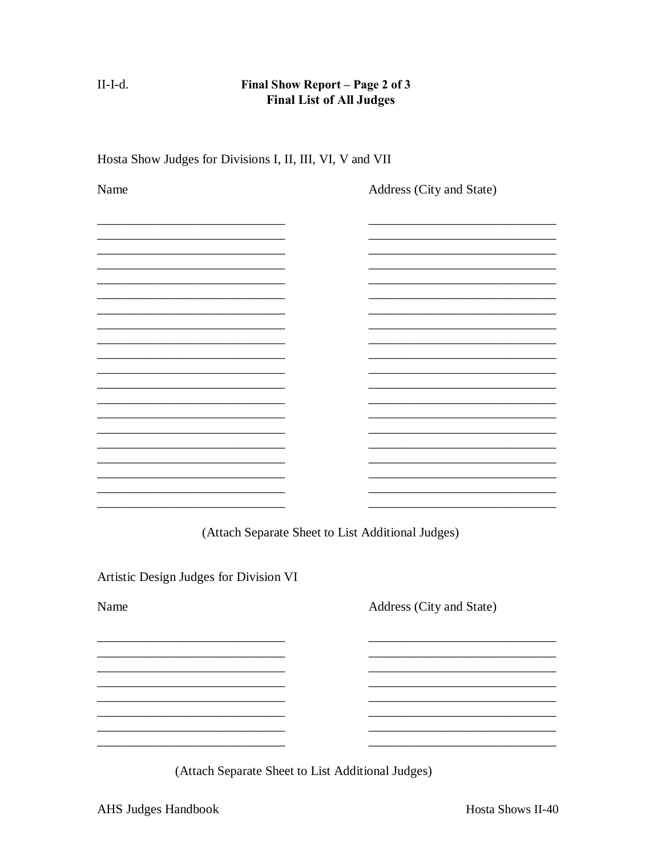$II-I-d.$ 

### Final Show Report - Page 2 of 3 **Final List of All Judges**

| Name                                   | Address (City and State)                          |
|----------------------------------------|---------------------------------------------------|
|                                        |                                                   |
|                                        |                                                   |
|                                        |                                                   |
|                                        |                                                   |
|                                        |                                                   |
|                                        |                                                   |
|                                        |                                                   |
|                                        |                                                   |
|                                        |                                                   |
|                                        | (Attach Separate Sheet to List Additional Judges) |
| Artistic Design Judges for Division VI |                                                   |
| Name                                   | Address (City and State)                          |
|                                        |                                                   |
|                                        |                                                   |
|                                        |                                                   |
|                                        |                                                   |
|                                        | (Attach Separate Sheet to List Additional Judges) |

Hosta Show Judges for Divisions I, II, III, VI, V and VII

AHS Judges Handbook

Hosta Shows II-40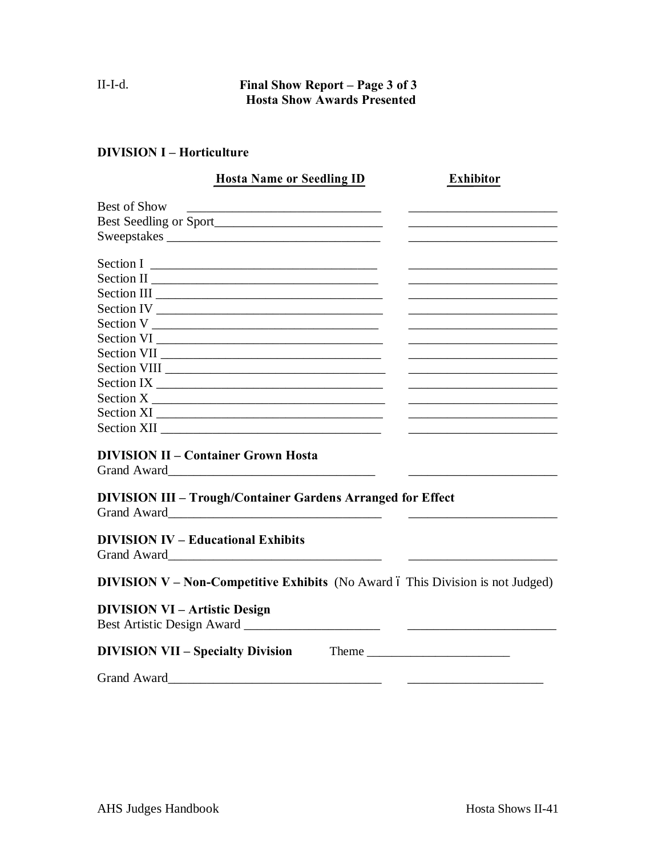### II-I-d. **Final Show Report – Page 3 of 3 Hosta Show Awards Presented**

### **DIVISION I – Horticulture**

| <b>Hosta Name or Seedling ID</b>                                                      | <b>Exhibitor</b>                                                                                                                                                                                                                                                                                                                                                                                              |
|---------------------------------------------------------------------------------------|---------------------------------------------------------------------------------------------------------------------------------------------------------------------------------------------------------------------------------------------------------------------------------------------------------------------------------------------------------------------------------------------------------------|
| <b>Best of Show</b>                                                                   |                                                                                                                                                                                                                                                                                                                                                                                                               |
|                                                                                       |                                                                                                                                                                                                                                                                                                                                                                                                               |
| Sweepstakes                                                                           |                                                                                                                                                                                                                                                                                                                                                                                                               |
|                                                                                       |                                                                                                                                                                                                                                                                                                                                                                                                               |
|                                                                                       |                                                                                                                                                                                                                                                                                                                                                                                                               |
|                                                                                       |                                                                                                                                                                                                                                                                                                                                                                                                               |
| Section IV                                                                            |                                                                                                                                                                                                                                                                                                                                                                                                               |
|                                                                                       | the control of the control of the control of the control of the control of the control of                                                                                                                                                                                                                                                                                                                     |
|                                                                                       |                                                                                                                                                                                                                                                                                                                                                                                                               |
|                                                                                       |                                                                                                                                                                                                                                                                                                                                                                                                               |
|                                                                                       |                                                                                                                                                                                                                                                                                                                                                                                                               |
|                                                                                       |                                                                                                                                                                                                                                                                                                                                                                                                               |
| Section X                                                                             |                                                                                                                                                                                                                                                                                                                                                                                                               |
|                                                                                       |                                                                                                                                                                                                                                                                                                                                                                                                               |
|                                                                                       |                                                                                                                                                                                                                                                                                                                                                                                                               |
| <b>DIVISION II – Container Grown Hosta</b>                                            |                                                                                                                                                                                                                                                                                                                                                                                                               |
|                                                                                       |                                                                                                                                                                                                                                                                                                                                                                                                               |
| <b>DIVISION III - Trough/Container Gardens Arranged for Effect</b>                    |                                                                                                                                                                                                                                                                                                                                                                                                               |
|                                                                                       |                                                                                                                                                                                                                                                                                                                                                                                                               |
| <b>DIVISION IV – Educational Exhibits</b>                                             |                                                                                                                                                                                                                                                                                                                                                                                                               |
|                                                                                       |                                                                                                                                                                                                                                                                                                                                                                                                               |
| <b>DIVISION V - Non-Competitive Exhibits</b> (No Award ó This Division is not Judged) |                                                                                                                                                                                                                                                                                                                                                                                                               |
| <b>DIVISION VI – Artistic Design</b>                                                  |                                                                                                                                                                                                                                                                                                                                                                                                               |
| <b>DIVISION VII - Specialty Division</b>                                              | Theme $\frac{1}{\sqrt{1-\frac{1}{2}}\sqrt{1-\frac{1}{2}}\sqrt{1-\frac{1}{2}}\sqrt{1-\frac{1}{2}}\sqrt{1-\frac{1}{2}}\sqrt{1-\frac{1}{2}}\sqrt{1-\frac{1}{2}}\sqrt{1-\frac{1}{2}}\sqrt{1-\frac{1}{2}}\sqrt{1-\frac{1}{2}}\sqrt{1-\frac{1}{2}}\sqrt{1-\frac{1}{2}}\sqrt{1-\frac{1}{2}}\sqrt{1-\frac{1}{2}}\sqrt{1-\frac{1}{2}}\sqrt{1-\frac{1}{2}}\sqrt{1-\frac{1}{2}}\sqrt{1-\frac{1}{2}}\sqrt{1-\frac{1}{2}}$ |
| <b>Grand Award</b>                                                                    |                                                                                                                                                                                                                                                                                                                                                                                                               |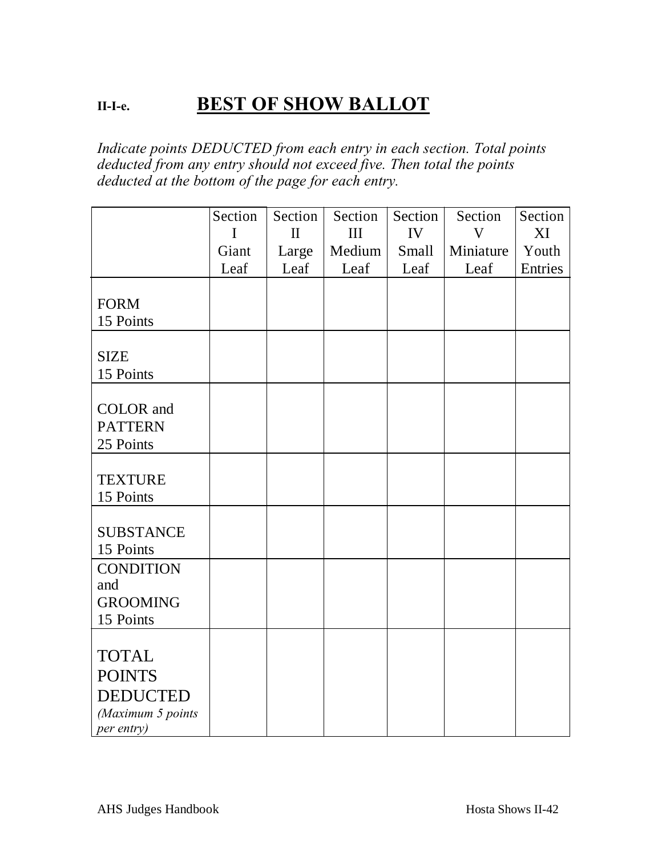# **II-I-e. BEST OF SHOW BALLOT**

*Indicate points DEDUCTED from each entry in each section. Total points deducted from any entry should not exceed five. Then total the points deducted at the bottom of the page for each entry.*

|                   | Section | Section      | Section | Section | Section   | Section |
|-------------------|---------|--------------|---------|---------|-----------|---------|
|                   | I       | $\mathbf{I}$ | III     | IV      | V         | XI      |
|                   | Giant   | Large        | Medium  | Small   | Miniature | Youth   |
|                   | Leaf    | Leaf         | Leaf    | Leaf    | Leaf      | Entries |
|                   |         |              |         |         |           |         |
| <b>FORM</b>       |         |              |         |         |           |         |
| 15 Points         |         |              |         |         |           |         |
|                   |         |              |         |         |           |         |
| <b>SIZE</b>       |         |              |         |         |           |         |
| 15 Points         |         |              |         |         |           |         |
|                   |         |              |         |         |           |         |
| <b>COLOR</b> and  |         |              |         |         |           |         |
| <b>PATTERN</b>    |         |              |         |         |           |         |
| 25 Points         |         |              |         |         |           |         |
|                   |         |              |         |         |           |         |
| <b>TEXTURE</b>    |         |              |         |         |           |         |
| 15 Points         |         |              |         |         |           |         |
|                   |         |              |         |         |           |         |
| <b>SUBSTANCE</b>  |         |              |         |         |           |         |
| 15 Points         |         |              |         |         |           |         |
| <b>CONDITION</b>  |         |              |         |         |           |         |
| and               |         |              |         |         |           |         |
| <b>GROOMING</b>   |         |              |         |         |           |         |
| 15 Points         |         |              |         |         |           |         |
|                   |         |              |         |         |           |         |
| <b>TOTAL</b>      |         |              |         |         |           |         |
| <b>POINTS</b>     |         |              |         |         |           |         |
| <b>DEDUCTED</b>   |         |              |         |         |           |         |
| (Maximum 5 points |         |              |         |         |           |         |
| per entry)        |         |              |         |         |           |         |